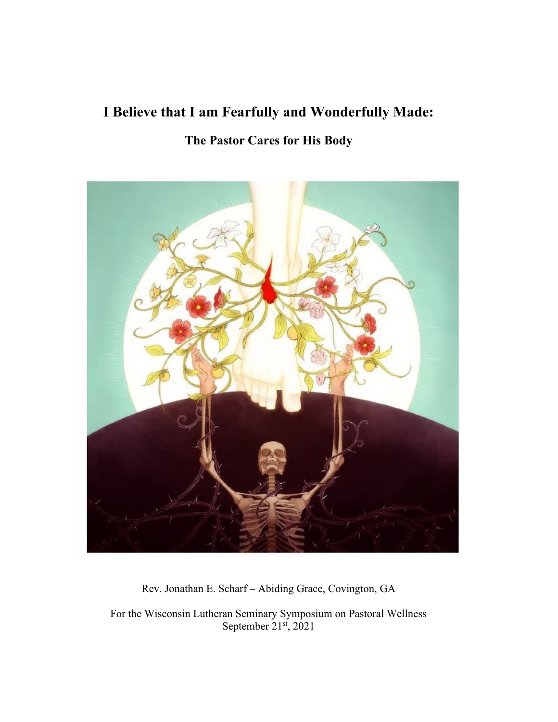# **I Believe that I am Fearfully and Wonderfully Made:**

# **The Pastor Cares for His Body**



Rev. Jonathan E. Scharf – Abiding Grace, Covington, GA

For the Wisconsin Lutheran Seminary Symposium on Pastoral Wellness September  $21^{st}$ ,  $2021$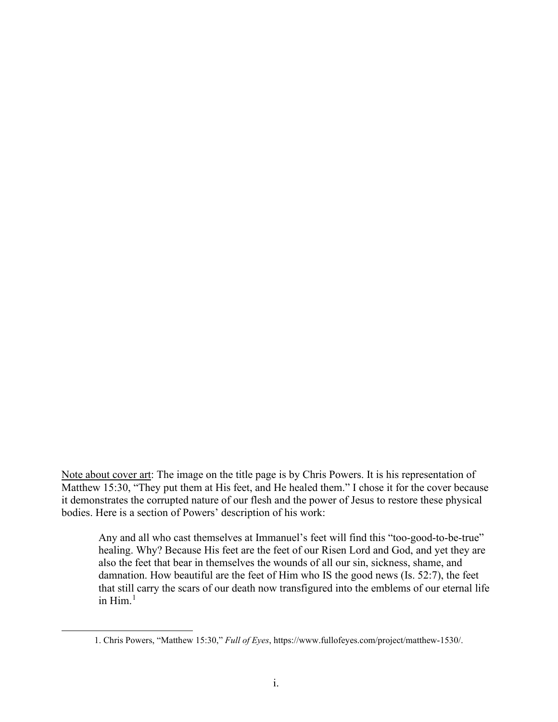Note about cover art: The image on the title page is by Chris Powers. It is his representation of Matthew 15:30, "They put them at His feet, and He healed them." I chose it for the cover because it demonstrates the corrupted nature of our flesh and the power of Jesus to restore these physical bodies. Here is a section of Powers' description of his work:

Any and all who cast themselves at Immanuel's feet will find this "too-good-to-be-true" healing. Why? Because His feet are the feet of our Risen Lord and God, and yet they are also the feet that bear in themselves the wounds of all our sin, sickness, shame, and damnation. How beautiful are the feet of Him who IS the good news (Is. 52:7), the feet that still carry the scars of our death now transfigured into the emblems of our eternal life in  $\text{Him.}^1$  $\text{Him.}^1$ 

<span id="page-1-0"></span><sup>1.</sup> Chris Powers, "Matthew 15:30," *Full of Eyes*, https://www.fullofeyes.com/project/matthew-1530/.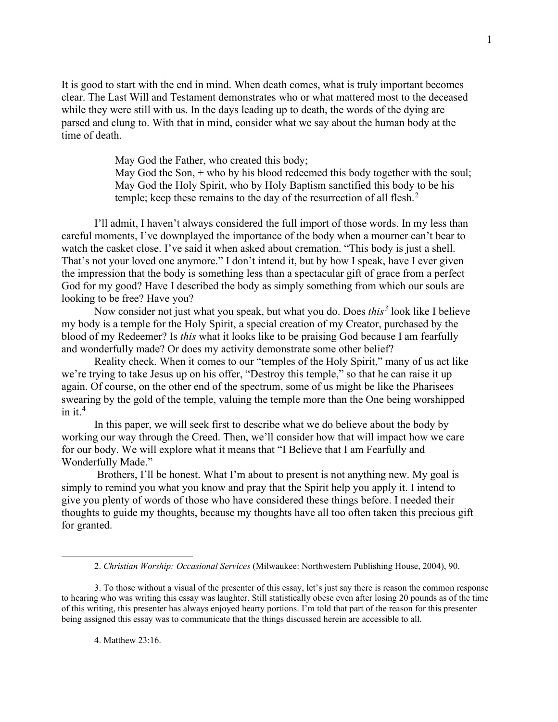It is good to start with the end in mind. When death comes, what is truly important becomes clear. The Last Will and Testament demonstrates who or what mattered most to the deceased while they were still with us. In the days leading up to death, the words of the dying are parsed and clung to. With that in mind, consider what we say about the human body at the time of death.

May God the Father, who created this body;

May God the Son, + who by his blood redeemed this body together with the soul; May God the Holy Spirit, who by Holy Baptism sanctified this body to be his temple; keep these remains to the day of the resurrection of all flesh.<sup>[2](#page-2-0)</sup>

I'll admit, I haven't always considered the full import of those words. In my less than careful moments, I've downplayed the importance of the body when a mourner can't bear to watch the casket close. I've said it when asked about cremation. "This body is just a shell. That's not your loved one anymore." I don't intend it, but by how I speak, have I ever given the impression that the body is something less than a spectacular gift of grace from a perfect God for my good? Have I described the body as simply something from which our souls are looking to be free? Have you?

Now consider not just what you speak, but what you do. Does *this[3](#page-2-1)* look like I believe my body is a temple for the Holy Spirit, a special creation of my Creator, purchased by the blood of my Redeemer? Is *this* what it looks like to be praising God because I am fearfully and wonderfully made? Or does my activity demonstrate some other belief?

Reality check. When it comes to our "temples of the Holy Spirit," many of us act like we're trying to take Jesus up on his offer, "Destroy this temple," so that he can raise it up again. Of course, on the other end of the spectrum, some of us might be like the Pharisees swearing by the gold of the temple, valuing the temple more than the One being worshipped in it.<sup>[4](#page-2-2)</sup>

In this paper, we will seek first to describe what we do believe about the body by working our way through the Creed. Then, we'll consider how that will impact how we care for our body. We will explore what it means that "I Believe that I am Fearfully and Wonderfully Made."

Brothers, I'll be honest. What I'm about to present is not anything new. My goal is simply to remind you what you know and pray that the Spirit help you apply it. I intend to give you plenty of words of those who have considered these things before. I needed their thoughts to guide my thoughts, because my thoughts have all too often taken this precious gift for granted.

<sup>2.</sup> *Christian Worship: Occasional Services* (Milwaukee: Northwestern Publishing House, 2004), 90.

<span id="page-2-2"></span><span id="page-2-1"></span><span id="page-2-0"></span><sup>3.</sup> To those without a visual of the presenter of this essay, let's just say there is reason the common response to hearing who was writing this essay was laughter. Still statistically obese even after losing 20 pounds as of the time of this writing, this presenter has always enjoyed hearty portions. I'm told that part of the reason for this presenter being assigned this essay was to communicate that the things discussed herein are accessible to all.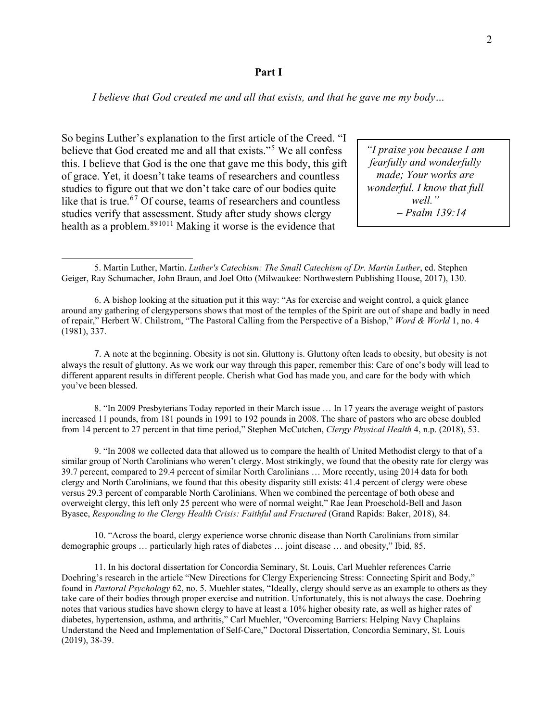#### **Part I**

*I believe that God created me and all that exists, and that he gave me my body…*

So begins Luther's explanation to the first article of the Creed. "I believe that God created me and all that exists."<sup>[5](#page-3-0)</sup> We all confess this. I believe that God is the one that gave me this body, this gift of grace. Yet, it doesn't take teams of researchers and countless studies to figure out that we don't take care of our bodies quite like that is true.<sup>[6](#page-3-1)[7](#page-3-2)</sup> Of course, teams of researchers and countless studies verify that assessment. Study after study shows clergy health as a problem.<sup>[8](#page-3-3)[9](#page-3-4)[10](#page-3-5)[11](#page-3-6)</sup> Making it worse is the evidence that

*"I praise you because I am fearfully and wonderfully made; Your works are wonderful. I know that full well." – Psalm 139:14*

<span id="page-3-2"></span>7. A note at the beginning. Obesity is not sin. Gluttony is. Gluttony often leads to obesity, but obesity is not always the result of gluttony. As we work our way through this paper, remember this: Care of one's body will lead to different apparent results in different people. Cherish what God has made you, and care for the body with which you've been blessed.

<span id="page-3-3"></span>8. "In 2009 Presbyterians Today reported in their March issue … In 17 years the average weight of pastors increased 11 pounds, from 181 pounds in 1991 to 192 pounds in 2008. The share of pastors who are obese doubled from 14 percent to 27 percent in that time period," Stephen McCutchen, *Clergy Physical Health* 4, n.p. (2018), 53.

<span id="page-3-4"></span>9. "In 2008 we collected data that allowed us to compare the health of United Methodist clergy to that of a similar group of North Carolinians who weren't clergy. Most strikingly, we found that the obesity rate for clergy was 39.7 percent, compared to 29.4 percent of similar North Carolinians … More recently, using 2014 data for both clergy and North Carolinians, we found that this obesity disparity still exists: 41.4 percent of clergy were obese versus 29.3 percent of comparable North Carolinians. When we combined the percentage of both obese and overweight clergy, this left only 25 percent who were of normal weight," Rae Jean Proeschold-Bell and Jason Byasee, *Responding to the Clergy Health Crisis: Faithful and Fractured* (Grand Rapids: Baker, 2018), 84.

<span id="page-3-5"></span>10. "Across the board, clergy experience worse chronic disease than North Carolinians from similar demographic groups … particularly high rates of diabetes … joint disease … and obesity," Ibid, 85.

<span id="page-3-6"></span>11. In his doctoral dissertation for Concordia Seminary, St. Louis, Carl Muehler references Carrie Doehring's research in the article "New Directions for Clergy Experiencing Stress: Connecting Spirit and Body," found in *Pastoral Psychology* 62, no. 5. Muehler states, "Ideally, clergy should serve as an example to others as they take care of their bodies through proper exercise and nutrition. Unfortunately, this is not always the case. Doehring notes that various studies have shown clergy to have at least a 10% higher obesity rate, as well as higher rates of diabetes, hypertension, asthma, and arthritis," Carl Muehler, "Overcoming Barriers: Helping Navy Chaplains Understand the Need and Implementation of Self-Care," Doctoral Dissertation, Concordia Seminary, St. Louis (2019), 38-39.

<span id="page-3-0"></span><sup>5.</sup> Martin Luther, Martin. *Luther's Catechism: The Small Catechism of Dr. Martin Luther*, ed. Stephen Geiger, Ray Schumacher, John Braun, and Joel Otto (Milwaukee: Northwestern Publishing House, 2017), 130.

<span id="page-3-1"></span><sup>6.</sup> A bishop looking at the situation put it this way: "As for exercise and weight control, a quick glance around any gathering of clergypersons shows that most of the temples of the Spirit are out of shape and badly in need of repair," Herbert W. Chilstrom, "The Pastoral Calling from the Perspective of a Bishop," *Word & World* 1, no. 4 (1981), 337.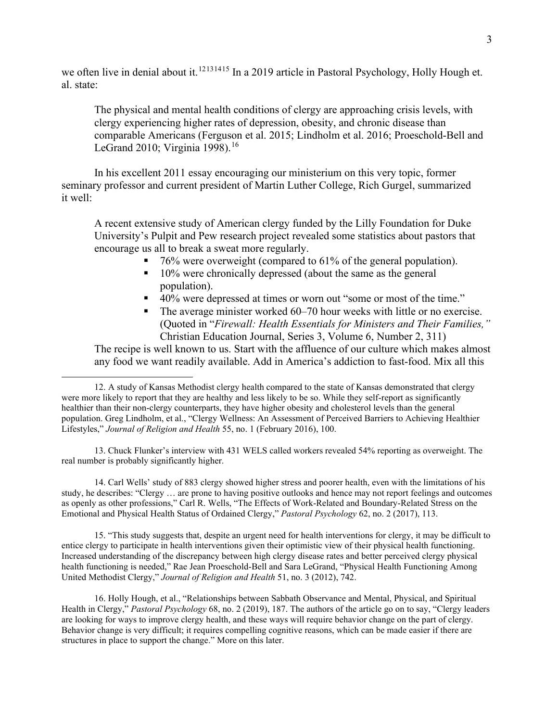we often live in denial about it.<sup>[12](#page-4-0)[13](#page-4-1)[14](#page-4-2)[15](#page-4-3)</sup> In a 2019 article in Pastoral Psychology, Holly Hough et. al. state:

The physical and mental health conditions of clergy are approaching crisis levels, with clergy experiencing higher rates of depression, obesity, and chronic disease than comparable Americans (Ferguson et al. 2015; Lindholm et al. 2016; Proeschold-Bell and LeGrand 2010; Virginia 1998).<sup>[16](#page-4-4)</sup>

In his excellent 2011 essay encouraging our ministerium on this very topic, former seminary professor and current president of Martin Luther College, Rich Gurgel, summarized it well:

A recent extensive study of American clergy funded by the Lilly Foundation for Duke University's Pulpit and Pew research project revealed some statistics about pastors that encourage us all to break a sweat more regularly.

- $\blacksquare$  76% were overweight (compared to 61% of the general population).
- $10\%$  were chronically depressed (about the same as the general population).
- 40% were depressed at times or worn out "some or most of the time."
- The average minister worked 60–70 hour weeks with little or no exercise. (Quoted in "*Firewall: Health Essentials for Ministers and Their Families,"*  Christian Education Journal, Series 3, Volume 6, Number 2, 311)

The recipe is well known to us. Start with the affluence of our culture which makes almost any food we want readily available. Add in America's addiction to fast-food. Mix all this

<span id="page-4-1"></span>13. Chuck Flunker's interview with 431 WELS called workers revealed 54% reporting as overweight. The real number is probably significantly higher.

<span id="page-4-2"></span>14. Carl Wells' study of 883 clergy showed higher stress and poorer health, even with the limitations of his study, he describes: "Clergy … are prone to having positive outlooks and hence may not report feelings and outcomes as openly as other professions," Carl R. Wells, "The Effects of Work-Related and Boundary-Related Stress on the Emotional and Physical Health Status of Ordained Clergy," *Pastoral Psychology* 62, no. 2 (2017), 113.

<span id="page-4-3"></span>15. "This study suggests that, despite an urgent need for health interventions for clergy, it may be difficult to entice clergy to participate in health interventions given their optimistic view of their physical health functioning. Increased understanding of the discrepancy between high clergy disease rates and better perceived clergy physical health functioning is needed," Rae Jean Proeschold-Bell and Sara LeGrand, "Physical Health Functioning Among United Methodist Clergy," *Journal of Religion and Health* 51, no. 3 (2012), 742.

<span id="page-4-4"></span>16. Holly Hough, et al., "Relationships between Sabbath Observance and Mental, Physical, and Spiritual Health in Clergy," *Pastoral Psychology* 68, no. 2 (2019), 187. The authors of the article go on to say, "Clergy leaders are looking for ways to improve clergy health, and these ways will require behavior change on the part of clergy. Behavior change is very difficult; it requires compelling cognitive reasons, which can be made easier if there are structures in place to support the change." More on this later.

<span id="page-4-0"></span><sup>12.</sup> A study of Kansas Methodist clergy health compared to the state of Kansas demonstrated that clergy were more likely to report that they are healthy and less likely to be so. While they self-report as significantly healthier than their non-clergy counterparts, they have higher obesity and cholesterol levels than the general population. Greg Lindholm, et al., "Clergy Wellness: An Assessment of Perceived Barriers to Achieving Healthier Lifestyles," *Journal of Religion and Health* 55, no. 1 (February 2016), 100.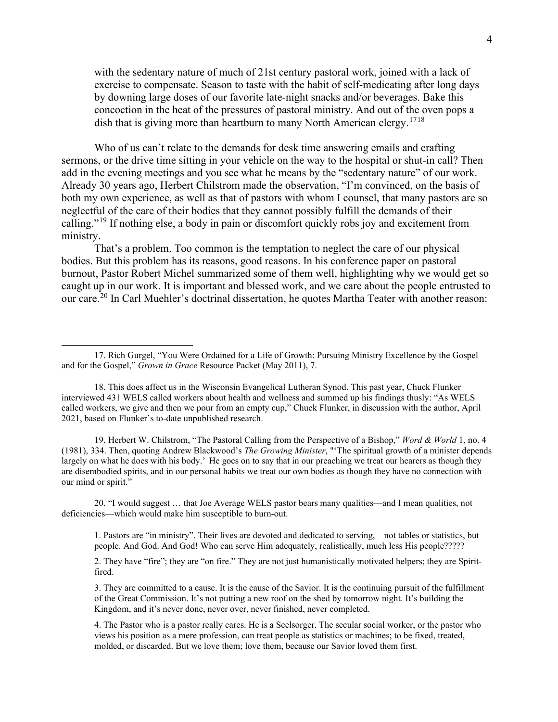with the sedentary nature of much of 21st century pastoral work, joined with a lack of exercise to compensate. Season to taste with the habit of self-medicating after long days by downing large doses of our favorite late-night snacks and/or beverages. Bake this concoction in the heat of the pressures of pastoral ministry. And out of the oven pops a dish that is giving more than heartburn to many North American clergy.<sup>[17](#page-5-0)[18](#page-5-1)</sup>

Who of us can't relate to the demands for desk time answering emails and crafting sermons, or the drive time sitting in your vehicle on the way to the hospital or shut-in call? Then add in the evening meetings and you see what he means by the "sedentary nature" of our work. Already 30 years ago, Herbert Chilstrom made the observation, "I'm convinced, on the basis of both my own experience, as well as that of pastors with whom I counsel, that many pastors are so neglectful of the care of their bodies that they cannot possibly fulfill the demands of their calling."<sup>[19](#page-5-2)</sup> If nothing else, a body in pain or discomfort quickly robs joy and excitement from ministry.

That's a problem. Too common is the temptation to neglect the care of our physical bodies. But this problem has its reasons, good reasons. In his conference paper on pastoral burnout, Pastor Robert Michel summarized some of them well, highlighting why we would get so caught up in our work. It is important and blessed work, and we care about the people entrusted to our care.<sup>[20](#page-5-3)</sup> In Carl Muehler's doctrinal dissertation, he quotes Martha Teater with another reason:

<span id="page-5-2"></span>19. Herbert W. Chilstrom, "The Pastoral Calling from the Perspective of a Bishop," *Word & World* 1, no. 4 (1981), 334. Then, quoting Andrew Blackwood's *The Growing Minister*, "'The spiritual growth of a minister depends largely on what he does with his body.' He goes on to say that in our preaching we treat our hearers as though they are disembodied spirits, and in our personal habits we treat our own bodies as though they have no connection with our mind or spirit."

<span id="page-5-3"></span>20. "I would suggest … that Joe Average WELS pastor bears many qualities—and I mean qualities, not deficiencies—which would make him susceptible to burn-out.

1. Pastors are "in ministry". Their lives are devoted and dedicated to serving, – not tables or statistics, but people. And God. And God! Who can serve Him adequately, realistically, much less His people?????

2. They have "fire"; they are "on fire." They are not just humanistically motivated helpers; they are Spiritfired.

3. They are committed to a cause. It is the cause of the Savior. It is the continuing pursuit of the fulfillment of the Great Commission. It's not putting a new roof on the shed by tomorrow night. It's building the Kingdom, and it's never done, never over, never finished, never completed.

<span id="page-5-0"></span><sup>17.</sup> Rich Gurgel, "You Were Ordained for a Life of Growth: Pursuing Ministry Excellence by the Gospel and for the Gospel," *Grown in Grace* Resource Packet (May 2011), 7.

<span id="page-5-1"></span><sup>18.</sup> This does affect us in the Wisconsin Evangelical Lutheran Synod. This past year, Chuck Flunker interviewed 431 WELS called workers about health and wellness and summed up his findings thusly: "As WELS called workers, we give and then we pour from an empty cup," Chuck Flunker, in discussion with the author, April 2021, based on Flunker's to-date unpublished research.

<sup>4.</sup> The Pastor who is a pastor really cares. He is a Seelsorger. The secular social worker, or the pastor who views his position as a mere profession, can treat people as statistics or machines; to be fixed, treated, molded, or discarded. But we love them; love them, because our Savior loved them first.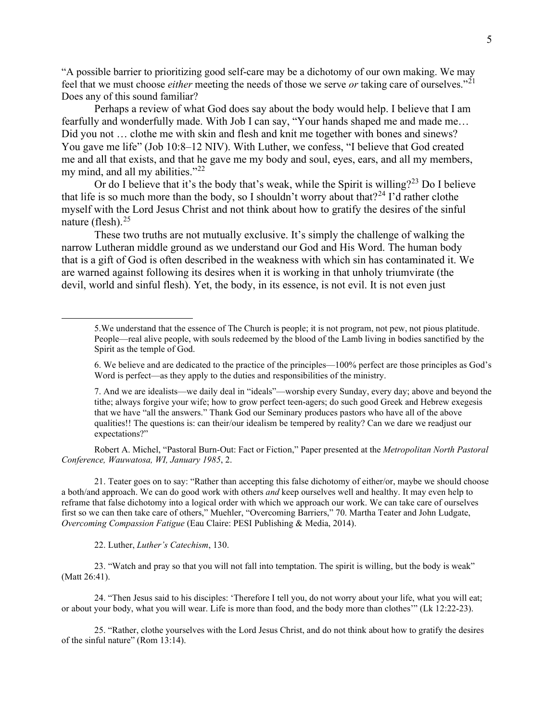"A possible barrier to prioritizing good self-care may be a dichotomy of our own making. We may feel that we must choose *either* meeting the needs of those we serve *or* taking care of ourselves."[21](#page-6-0) Does any of this sound familiar?

Perhaps a review of what God does say about the body would help. I believe that I am fearfully and wonderfully made. With Job I can say, "Your hands shaped me and made me… Did you not ... clothe me with skin and flesh and knit me together with bones and sinews? You gave me life" (Job 10:8–12 NIV). With Luther, we confess, "I believe that God created me and all that exists, and that he gave me my body and soul, eyes, ears, and all my members, my mind, and all my abilities."<sup>[22](#page-6-1)</sup>

Or do I believe that it's the body that's weak, while the Spirit is willing?<sup>[23](#page-6-2)</sup> Do I believe that life is so much more than the body, so I shouldn't worry about that?<sup>[24](#page-6-3)</sup> I'd rather clothe myself with the Lord Jesus Christ and not think about how to gratify the desires of the sinful nature (flesh). $25$ 

These two truths are not mutually exclusive. It's simply the challenge of walking the narrow Lutheran middle ground as we understand our God and His Word. The human body that is a gift of God is often described in the weakness with which sin has contaminated it. We are warned against following its desires when it is working in that unholy triumvirate (the devil, world and sinful flesh). Yet, the body, in its essence, is not evil. It is not even just

7. And we are idealists—we daily deal in "ideals"—worship every Sunday, every day; above and beyond the tithe; always forgive your wife; how to grow perfect teen-agers; do such good Greek and Hebrew exegesis that we have "all the answers." Thank God our Seminary produces pastors who have all of the above qualities!! The questions is: can their/our idealism be tempered by reality? Can we dare we readjust our expectations?"

Robert A. Michel, "Pastoral Burn-Out: Fact or Fiction," Paper presented at the *Metropolitan North Pastoral Conference, Wauwatosa, WI, January 1985*, 2.

<span id="page-6-0"></span>21. Teater goes on to say: "Rather than accepting this false dichotomy of either/or, maybe we should choose a both/and approach. We can do good work with others *and* keep ourselves well and healthy. It may even help to reframe that false dichotomy into a logical order with which we approach our work. We can take care of ourselves first so we can then take care of others," Muehler, "Overcoming Barriers," 70. Martha Teater and John Ludgate, *Overcoming Compassion Fatigue* (Eau Claire: PESI Publishing & Media, 2014).

22. Luther, *Luther's Catechism*, 130.

<span id="page-6-2"></span><span id="page-6-1"></span>23. "Watch and pray so that you will not fall into temptation. The spirit is willing, but the body is weak" (Matt 26:41).

<span id="page-6-3"></span>24. "Then Jesus said to his disciples: 'Therefore I tell you, do not worry about your life, what you will eat; or about your body, what you will wear. Life is more than food, and the body more than clothes'" (Lk 12:22-23).

<span id="page-6-4"></span>25. "Rather, clothe yourselves with the Lord Jesus Christ, and do not think about how to gratify the desires of the sinful nature" (Rom 13:14).

<sup>5.</sup>We understand that the essence of The Church is people; it is not program, not pew, not pious platitude. People—real alive people, with souls redeemed by the blood of the Lamb living in bodies sanctified by the Spirit as the temple of God.

<sup>6.</sup> We believe and are dedicated to the practice of the principles—100% perfect are those principles as God's Word is perfect—as they apply to the duties and responsibilities of the ministry.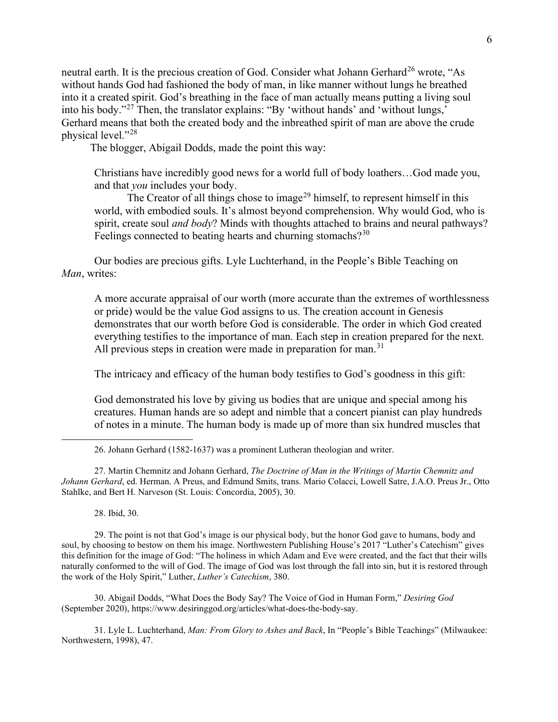neutral earth. It is the precious creation of God. Consider what Johann Gerhard<sup>[26](#page-7-0)</sup> wrote, "As without hands God had fashioned the body of man, in like manner without lungs he breathed into it a created spirit. God's breathing in the face of man actually means putting a living soul into his body."[27](#page-7-1) Then, the translator explains: "By 'without hands' and 'without lungs,' Gerhard means that both the created body and the inbreathed spirit of man are above the crude physical level."[28](#page-7-2)

The blogger, Abigail Dodds, made the point this way:

Christians have incredibly good news for a world full of body loathers…God made you, and that *you* includes your body.

The Creator of all things chose to image<sup>[29](#page-7-3)</sup> himself, to represent himself in this world, with embodied souls. It's almost beyond comprehension. Why would God, who is spirit, create soul *and body*? Minds with thoughts attached to brains and neural pathways? Feelings connected to beating hearts and churning stomachs? $30$ 

Our bodies are precious gifts. Lyle Luchterhand, in the People's Bible Teaching on *Man*, writes:

A more accurate appraisal of our worth (more accurate than the extremes of worthlessness or pride) would be the value God assigns to us. The creation account in Genesis demonstrates that our worth before God is considerable. The order in which God created everything testifies to the importance of man. Each step in creation prepared for the next. All previous steps in creation were made in preparation for man.<sup>[31](#page-7-5)</sup>

The intricacy and efficacy of the human body testifies to God's goodness in this gift:

God demonstrated his love by giving us bodies that are unique and special among his creatures. Human hands are so adept and nimble that a concert pianist can play hundreds of notes in a minute. The human body is made up of more than six hundred muscles that

<span id="page-7-1"></span><span id="page-7-0"></span>27. Martin Chemnitz and Johann Gerhard, *The Doctrine of Man in the Writings of Martin Chemnitz and Johann Gerhard*, ed. Herman. A Preus, and Edmund Smits, trans. Mario Colacci, Lowell Satre, J.A.O. Preus Jr., Otto Stahlke, and Bert H. Narveson (St. Louis: Concordia, 2005), 30.

28. Ibid, 30.

<span id="page-7-3"></span><span id="page-7-2"></span>29. The point is not that God's image is our physical body, but the honor God gave to humans, body and soul, by choosing to bestow on them his image. Northwestern Publishing House's 2017 "Luther's Catechism" gives this definition for the image of God: "The holiness in which Adam and Eve were created, and the fact that their wills naturally conformed to the will of God. The image of God was lost through the fall into sin, but it is restored through the work of the Holy Spirit," Luther, *Luther's Catechism*, 380.

<span id="page-7-4"></span>30. Abigail Dodds, "What Does the Body Say? The Voice of God in Human Form," *Desiring God* (September 2020), https://www.desiringgod.org/articles/what-does-the-body-say.

<span id="page-7-5"></span>31. Lyle L. Luchterhand, *Man: From Glory to Ashes and Back*, In "People's Bible Teachings" (Milwaukee: Northwestern, 1998), 47.

<sup>26.</sup> Johann Gerhard (1582-1637) was a prominent Lutheran theologian and writer.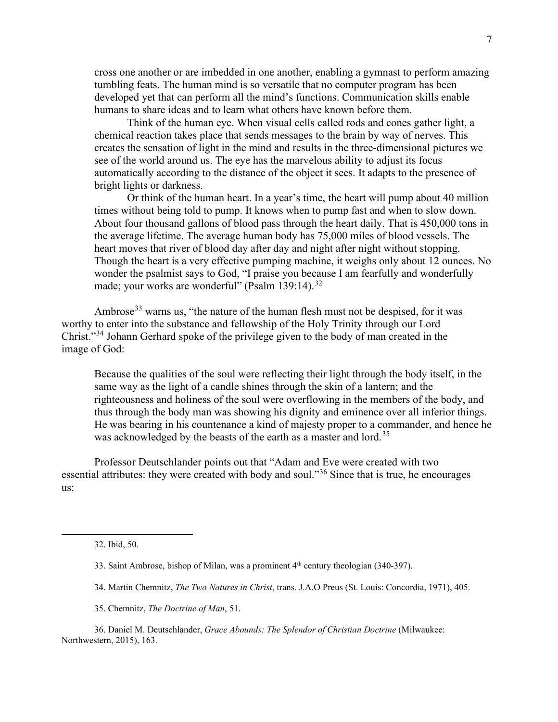cross one another or are imbedded in one another, enabling a gymnast to perform amazing tumbling feats. The human mind is so versatile that no computer program has been developed yet that can perform all the mind's functions. Communication skills enable humans to share ideas and to learn what others have known before them.

Think of the human eye. When visual cells called rods and cones gather light, a chemical reaction takes place that sends messages to the brain by way of nerves. This creates the sensation of light in the mind and results in the three-dimensional pictures we see of the world around us. The eye has the marvelous ability to adjust its focus automatically according to the distance of the object it sees. It adapts to the presence of bright lights or darkness.

Or think of the human heart. In a year's time, the heart will pump about 40 million times without being told to pump. It knows when to pump fast and when to slow down. About four thousand gallons of blood pass through the heart daily. That is 450,000 tons in the average lifetime. The average human body has 75,000 miles of blood vessels. The heart moves that river of blood day after day and night after night without stopping. Though the heart is a very effective pumping machine, it weighs only about 12 ounces. No wonder the psalmist says to God, "I praise you because I am fearfully and wonderfully made; your works are wonderful" (Psalm 139:14).<sup>[32](#page-8-0)</sup>

Ambrose<sup>[33](#page-8-1)</sup> warns us, "the nature of the human flesh must not be despised, for it was worthy to enter into the substance and fellowship of the Holy Trinity through our Lord Christ."[34](#page-8-2) Johann Gerhard spoke of the privilege given to the body of man created in the image of God:

Because the qualities of the soul were reflecting their light through the body itself, in the same way as the light of a candle shines through the skin of a lantern; and the righteousness and holiness of the soul were overflowing in the members of the body, and thus through the body man was showing his dignity and eminence over all inferior things. He was bearing in his countenance a kind of majesty proper to a commander, and hence he was acknowledged by the beasts of the earth as a master and lord.<sup>[35](#page-8-3)</sup>

Professor Deutschlander points out that "Adam and Eve were created with two essential attributes: they were created with body and soul."<sup>[36](#page-8-4)</sup> Since that is true, he encourages us:

- 34. Martin Chemnitz, *The Two Natures in Christ*, trans. J.A.O Preus (St. Louis: Concordia, 1971), 405.
- 35. Chemnitz, *The Doctrine of Man*, 51.

<span id="page-8-0"></span><sup>32.</sup> Ibid, 50.

<sup>33.</sup> Saint Ambrose, bishop of Milan, was a prominent  $4<sup>th</sup>$  century theologian (340-397).

<span id="page-8-4"></span><span id="page-8-3"></span><span id="page-8-2"></span><span id="page-8-1"></span><sup>36.</sup> Daniel M. Deutschlander, *Grace Abounds: The Splendor of Christian Doctrine* (Milwaukee: Northwestern, 2015), 163.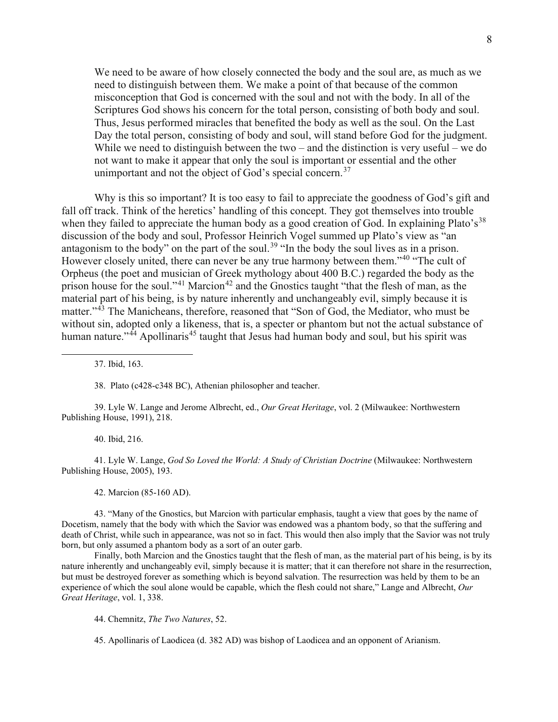We need to be aware of how closely connected the body and the soul are, as much as we need to distinguish between them. We make a point of that because of the common misconception that God is concerned with the soul and not with the body. In all of the Scriptures God shows his concern for the total person, consisting of both body and soul. Thus, Jesus performed miracles that benefited the body as well as the soul. On the Last Day the total person, consisting of body and soul, will stand before God for the judgment. While we need to distinguish between the two – and the distinction is very useful – we do not want to make it appear that only the soul is important or essential and the other unimportant and not the object of God's special concern.<sup>[37](#page-9-0)</sup>

Why is this so important? It is too easy to fail to appreciate the goodness of God's gift and fall off track. Think of the heretics' handling of this concept. They got themselves into trouble when they failed to appreciate the human body as a good creation of God. In explaining Plato's<sup>[38](#page-9-1)</sup> discussion of the body and soul, Professor Heinrich Vogel summed up Plato's view as "an antagonism to the body" on the part of the soul.<sup>[39](#page-9-2)</sup> "In the body the soul lives as in a prison. However closely united, there can never be any true harmony between them."<sup>[40](#page-9-3)</sup> "The cult of Orpheus (the poet and musician of Greek mythology about 400 B.C.) regarded the body as the prison house for the soul."<sup>[41](#page-9-4)</sup> Marcion<sup>[42](#page-9-5)</sup> and the Gnostics taught "that the flesh of man, as the material part of his being, is by nature inherently and unchangeably evil, simply because it is matter."<sup>[43](#page-9-6)</sup> The Manicheans, therefore, reasoned that "Son of God, the Mediator, who must be without sin, adopted only a likeness, that is, a specter or phantom but not the actual substance of human nature."<sup>[44](#page-9-7)</sup> Apollinaris<sup>[45](#page-9-8)</sup> taught that Jesus had human body and soul, but his spirit was

37. Ibid, 163.

38. Plato (c428-c348 BC), Athenian philosopher and teacher.

<span id="page-9-2"></span><span id="page-9-1"></span><span id="page-9-0"></span>39. Lyle W. Lange and Jerome Albrecht, ed., *Our Great Heritage*, vol. 2 (Milwaukee: Northwestern Publishing House, 1991), 218.

40. Ibid, 216.

<span id="page-9-4"></span><span id="page-9-3"></span>41. Lyle W. Lange, *God So Loved the World: A Study of Christian Doctrine* (Milwaukee: Northwestern Publishing House, 2005), 193.

42. Marcion (85-160 AD).

<span id="page-9-6"></span><span id="page-9-5"></span>43. "Many of the Gnostics, but Marcion with particular emphasis, taught a view that goes by the name of Docetism, namely that the body with which the Savior was endowed was a phantom body, so that the suffering and death of Christ, while such in appearance, was not so in fact. This would then also imply that the Savior was not truly born, but only assumed a phantom body as a sort of an outer garb.

<span id="page-9-7"></span>Finally, both Marcion and the Gnostics taught that the flesh of man, as the material part of his being, is by its nature inherently and unchangeably evil, simply because it is matter; that it can therefore not share in the resurrection, but must be destroyed forever as something which is beyond salvation. The resurrection was held by them to be an experience of which the soul alone would be capable, which the flesh could not share," Lange and Albrecht, *Our Great Heritage*, vol. 1, 338.

44. Chemnitz, *The Two Natures*, 52.

<span id="page-9-8"></span>45. Apollinaris of Laodicea (d. 382 AD) was bishop of Laodicea and an opponent of Arianism.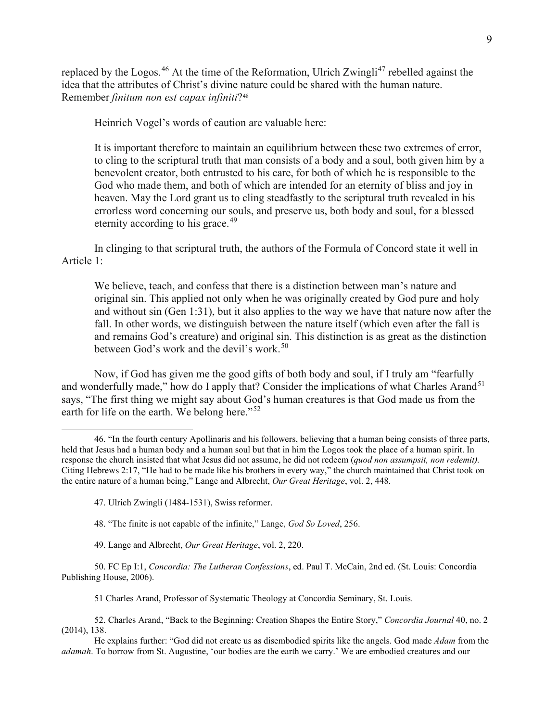replaced by the Logos.<sup>[46](#page-10-0)</sup> At the time of the Reformation, Ulrich Zwingli<sup>[47](#page-10-1)</sup> rebelled against the idea that the attributes of Christ's divine nature could be shared with the human nature. Remember *finitum non est capax infiniti*?[48](#page-10-2)

Heinrich Vogel's words of caution are valuable here:

It is important therefore to maintain an equilibrium between these two extremes of error, to cling to the scriptural truth that man consists of a body and a soul, both given him by a benevolent creator, both entrusted to his care, for both of which he is responsible to the God who made them, and both of which are intended for an eternity of bliss and joy in heaven. May the Lord grant us to cling steadfastly to the scriptural truth revealed in his errorless word concerning our souls, and preserve us, both body and soul, for a blessed eternity according to his grace.<sup>[49](#page-10-3)</sup>

In clinging to that scriptural truth, the authors of the Formula of Concord state it well in Article 1:

We believe, teach, and confess that there is a distinction between man's nature and original sin. This applied not only when he was originally created by God pure and holy and without sin (Gen 1:31), but it also applies to the way we have that nature now after the fall. In other words, we distinguish between the nature itself (which even after the fall is and remains God's creature) and original sin. This distinction is as great as the distinction between God's work and the devil's work.<sup>[50](#page-10-4)</sup>

Now, if God has given me the good gifts of both body and soul, if I truly am "fearfully and wonderfully made," how do I apply that? Consider the implications of what Charles Arand<sup>[51](#page-10-5)</sup> says, "The first thing we might say about God's human creatures is that God made us from the earth for life on the earth. We belong here."<sup>[52](#page-10-6)</sup>

48. "The finite is not capable of the infinite," Lange, *God So Loved*, 256.

49. Lange and Albrecht, *Our Great Heritage*, vol. 2, 220.

<span id="page-10-4"></span><span id="page-10-3"></span><span id="page-10-2"></span>50. FC Ep I:1, *Concordia: The Lutheran Confessions*, ed. Paul T. McCain, 2nd ed. (St. Louis: Concordia Publishing House, 2006).

51 Charles Arand, Professor of Systematic Theology at Concordia Seminary, St. Louis.

<span id="page-10-6"></span><span id="page-10-5"></span>52. Charles Arand, "Back to the Beginning: Creation Shapes the Entire Story," *Concordia Journal* 40, no. 2 (2014), 138.

He explains further: "God did not create us as disembodied spirits like the angels. God made *Adam* from the *adamah*. To borrow from St. Augustine, 'our bodies are the earth we carry.' We are embodied creatures and our

<span id="page-10-1"></span><span id="page-10-0"></span><sup>46.</sup> "In the fourth century Apollinaris and his followers, believing that a human being consists of three parts, held that Jesus had a human body and a human soul but that in him the Logos took the place of a human spirit. In response the church insisted that what Jesus did not assume, he did not redeem (*quod non assumpsit, non redemit).* Citing Hebrews 2:17, "He had to be made like his brothers in every way," the church maintained that Christ took on the entire nature of a human being," Lange and Albrecht, *Our Great Heritage*, vol. 2, 448.

<sup>47.</sup> Ulrich Zwingli (1484-1531), Swiss reformer.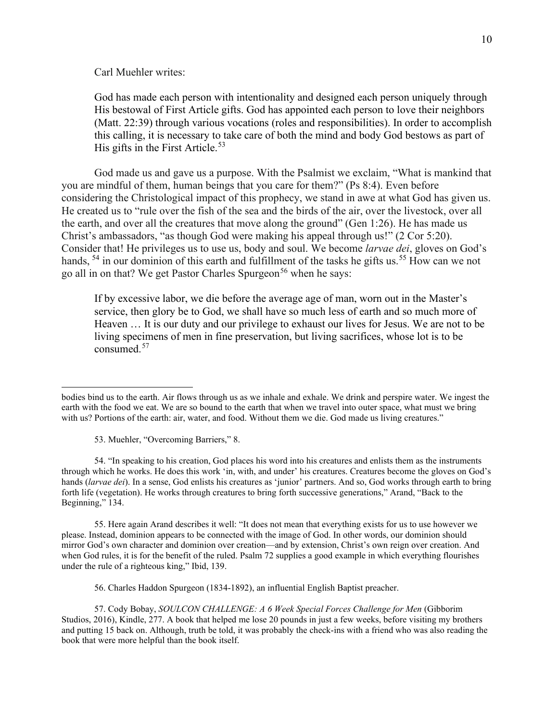Carl Muehler writes:

God has made each person with intentionality and designed each person uniquely through His bestowal of First Article gifts. God has appointed each person to love their neighbors (Matt. 22:39) through various vocations (roles and responsibilities). In order to accomplish this calling, it is necessary to take care of both the mind and body God bestows as part of His gifts in the First Article.<sup>[53](#page-11-0)</sup>

God made us and gave us a purpose. With the Psalmist we exclaim, "What is mankind that you are mindful of them, human beings that you care for them?" (Ps 8:4). Even before considering the Christological impact of this prophecy, we stand in awe at what God has given us. He created us to "rule over the fish of the sea and the birds of the air, over the livestock, over all the earth, and over all the creatures that move along the ground" (Gen 1:26). He has made us Christ's ambassadors, "as though God were making his appeal through us!" (2 Cor 5:20). Consider that! He privileges us to use us, body and soul. We become *larvae dei*, gloves on God's hands, <sup>[54](#page-11-1)</sup> in our dominion of this earth and fulfillment of the tasks he gifts us.<sup>[55](#page-11-2)</sup> How can we not go all in on that? We get Pastor Charles Spurgeon<sup>[56](#page-11-3)</sup> when he says:

If by excessive labor, we die before the average age of man, worn out in the Master's service, then glory be to God, we shall have so much less of earth and so much more of Heaven … It is our duty and our privilege to exhaust our lives for Jesus. We are not to be living specimens of men in fine preservation, but living sacrifices, whose lot is to be consumed. [57](#page-11-4)

53. Muehler, "Overcoming Barriers," 8.

<span id="page-11-1"></span><span id="page-11-0"></span>54. "In speaking to his creation, God places his word into his creatures and enlists them as the instruments through which he works. He does this work 'in, with, and under' his creatures. Creatures become the gloves on God's hands (*larvae dei*). In a sense, God enlists his creatures as 'junior' partners. And so, God works through earth to bring forth life (vegetation). He works through creatures to bring forth successive generations," Arand, "Back to the Beginning," 134.

<span id="page-11-2"></span>55. Here again Arand describes it well: "It does not mean that everything exists for us to use however we please. Instead, dominion appears to be connected with the image of God. In other words, our dominion should mirror God's own character and dominion over creation—and by extension, Christ's own reign over creation. And when God rules, it is for the benefit of the ruled. Psalm 72 supplies a good example in which everything flourishes under the rule of a righteous king," Ibid, 139.

56. Charles Haddon Spurgeon (1834-1892), an influential English Baptist preacher.

<span id="page-11-4"></span><span id="page-11-3"></span>57. Cody Bobay, *SOULCON CHALLENGE: A 6 Week Special Forces Challenge for Men* (Gibborim Studios, 2016), Kindle, 277. A book that helped me lose 20 pounds in just a few weeks, before visiting my brothers and putting 15 back on. Although, truth be told, it was probably the check-ins with a friend who was also reading the book that were more helpful than the book itself.

bodies bind us to the earth. Air flows through us as we inhale and exhale. We drink and perspire water. We ingest the earth with the food we eat. We are so bound to the earth that when we travel into outer space, what must we bring with us? Portions of the earth: air, water, and food. Without them we die. God made us living creatures."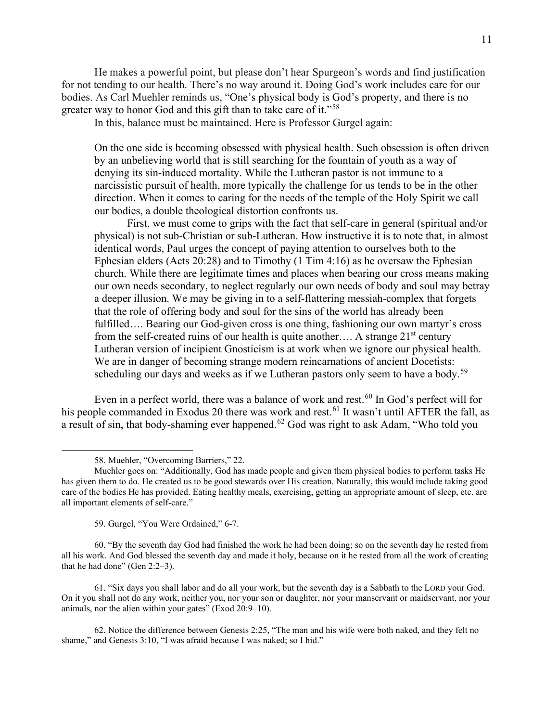He makes a powerful point, but please don't hear Spurgeon's words and find justification for not tending to our health. There's no way around it. Doing God's work includes care for our bodies. As Carl Muehler reminds us, "One's physical body is God's property, and there is no greater way to honor God and this gift than to take care of it."<sup>[58](#page-12-0)</sup>

In this, balance must be maintained. Here is Professor Gurgel again:

On the one side is becoming obsessed with physical health. Such obsession is often driven by an unbelieving world that is still searching for the fountain of youth as a way of denying its sin-induced mortality. While the Lutheran pastor is not immune to a narcissistic pursuit of health, more typically the challenge for us tends to be in the other direction. When it comes to caring for the needs of the temple of the Holy Spirit we call our bodies, a double theological distortion confronts us.

First, we must come to grips with the fact that self-care in general (spiritual and/or physical) is not sub-Christian or sub-Lutheran. How instructive it is to note that, in almost identical words, Paul urges the concept of paying attention to ourselves both to the Ephesian elders (Acts 20:28) and to Timothy (1 Tim 4:16) as he oversaw the Ephesian church. While there are legitimate times and places when bearing our cross means making our own needs secondary, to neglect regularly our own needs of body and soul may betray a deeper illusion. We may be giving in to a self-flattering messiah-complex that forgets that the role of offering body and soul for the sins of the world has already been fulfilled…. Bearing our God-given cross is one thing, fashioning our own martyr's cross from the self-created ruins of our health is quite another.... A strange  $21<sup>st</sup>$  century Lutheran version of incipient Gnosticism is at work when we ignore our physical health. We are in danger of becoming strange modern reincarnations of ancient Docetists: scheduling our days and weeks as if we Lutheran pastors only seem to have a body.<sup>[59](#page-12-1)</sup>

Even in a perfect world, there was a balance of work and rest.<sup>[60](#page-12-2)</sup> In God's perfect will for his people commanded in Exodus 20 there was work and rest. [61](#page-12-3) It wasn't until AFTER the fall, as a result of sin, that body-shaming ever happened.<sup>[62](#page-12-4)</sup> God was right to ask Adam, "Who told you

58. Muehler, "Overcoming Barriers," 22.

59. Gurgel, "You Were Ordained," 6-7.

<span id="page-12-2"></span><span id="page-12-1"></span>60. "By the seventh day God had finished the work he had been doing; so on the seventh day he rested from all his work. And God blessed the seventh day and made it holy, because on it he rested from all the work of creating that he had done" (Gen 2:2–3).

<span id="page-12-3"></span>61. "Six days you shall labor and do all your work, but the seventh day is a Sabbath to the LORD your God. On it you shall not do any work, neither you, nor your son or daughter, nor your manservant or maidservant, nor your animals, nor the alien within your gates" (Exod 20:9–10).

<span id="page-12-4"></span>62. Notice the difference between Genesis 2:25, "The man and his wife were both naked, and they felt no shame," and Genesis 3:10, "I was afraid because I was naked; so I hid."

<span id="page-12-0"></span>Muehler goes on: "Additionally, God has made people and given them physical bodies to perform tasks He has given them to do. He created us to be good stewards over His creation. Naturally, this would include taking good care of the bodies He has provided. Eating healthy meals, exercising, getting an appropriate amount of sleep, etc. are all important elements of self-care."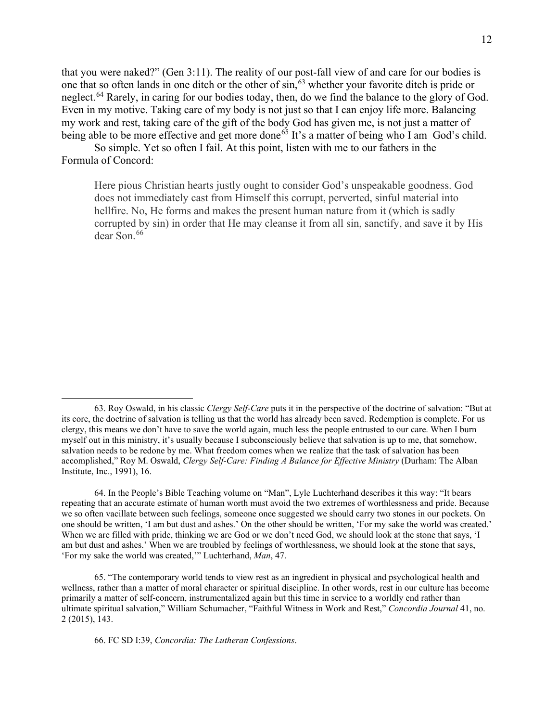that you were naked?" (Gen 3:11). The reality of our post-fall view of and care for our bodies is one that so often lands in one ditch or the other of sin, <sup>[63](#page-13-0)</sup> whether your favorite ditch is pride or neglect.<sup>[64](#page-13-1)</sup> Rarely, in caring for our bodies today, then, do we find the balance to the glory of God. Even in my motive. Taking care of my body is not just so that I can enjoy life more. Balancing my work and rest, taking care of the gift of the body God has given me, is not just a matter of being able to be more effective and get more done<sup>[65](#page-13-2)</sup> It's a matter of being who I am–God's child.

So simple. Yet so often I fail. At this point, listen with me to our fathers in the Formula of Concord:

Here pious Christian hearts justly ought to consider God's unspeakable goodness. God does not immediately cast from Himself this corrupt, perverted, sinful material into hellfire. No, He forms and makes the present human nature from it (which is sadly corrupted by sin) in order that He may cleanse it from all sin, sanctify, and save it by His dear Son. [66](#page-13-3)

<span id="page-13-1"></span>64. In the People's Bible Teaching volume on "Man", Lyle Luchterhand describes it this way: "It bears repeating that an accurate estimate of human worth must avoid the two extremes of worthlessness and pride. Because we so often vacillate between such feelings, someone once suggested we should carry two stones in our pockets. On one should be written, 'I am but dust and ashes.' On the other should be written, 'For my sake the world was created.' When we are filled with pride, thinking we are God or we don't need God, we should look at the stone that says, 'I am but dust and ashes.' When we are troubled by feelings of worthlessness, we should look at the stone that says, 'For my sake the world was created,'" Luchterhand, *Man*, 47.

<span id="page-13-3"></span><span id="page-13-2"></span>65. "The contemporary world tends to view rest as an ingredient in physical and psychological health and wellness, rather than a matter of moral character or spiritual discipline. In other words, rest in our culture has become primarily a matter of self-concern, instrumentalized again but this time in service to a worldly end rather than ultimate spiritual salvation," William Schumacher, "Faithful Witness in Work and Rest," *Concordia Journal* 41, no. 2 (2015), 143.

66. FC SD I:39, *Concordia: The Lutheran Confessions*.

<span id="page-13-0"></span><sup>63.</sup> Roy Oswald, in his classic *Clergy Self-Care* puts it in the perspective of the doctrine of salvation: "But at its core, the doctrine of salvation is telling us that the world has already been saved. Redemption is complete. For us clergy, this means we don't have to save the world again, much less the people entrusted to our care. When I burn myself out in this ministry, it's usually because I subconsciously believe that salvation is up to me, that somehow, salvation needs to be redone by me. What freedom comes when we realize that the task of salvation has been accomplished," Roy M. Oswald, *Clergy Self-Care: Finding A Balance for Effective Ministry* (Durham: The Alban Institute, Inc., 1991), 16.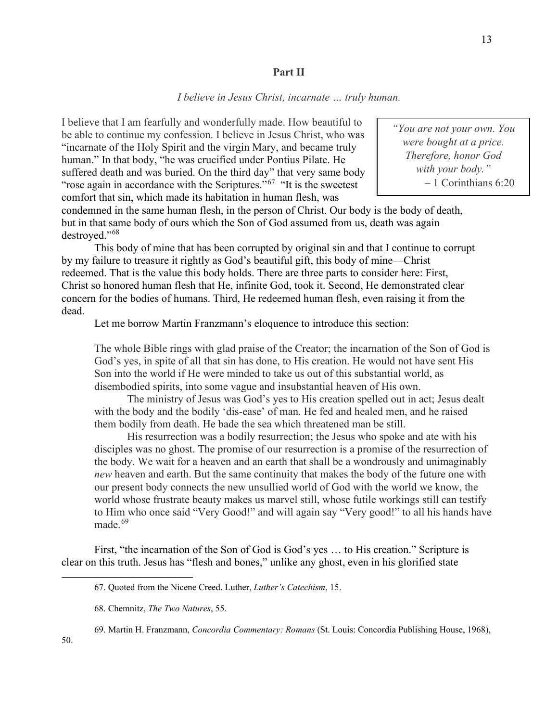## **Part II**

# *I believe in Jesus Christ, incarnate … truly human.*

I believe that I am fearfully and wonderfully made. How beautiful to be able to continue my confession. I believe in Jesus Christ, who was "incarnate of the Holy Spirit and the virgin Mary, and became truly human." In that body, "he was crucified under Pontius Pilate. He suffered death and was buried. On the third day" that very same body "rose again in accordance with the Scriptures."<sup>[67](#page-14-0)</sup> "It is the sweetest" comfort that sin, which made its habitation in human flesh, was

condemned in the same human flesh, in the person of Christ. Our body is the body of death, but in that same body of ours which the Son of God assumed from us, death was again destroyed."<sup>[68](#page-14-1)</sup>

This body of mine that has been corrupted by original sin and that I continue to corrupt by my failure to treasure it rightly as God's beautiful gift, this body of mine—Christ redeemed. That is the value this body holds. There are three parts to consider here: First, Christ so honored human flesh that He, infinite God, took it. Second, He demonstrated clear concern for the bodies of humans. Third, He redeemed human flesh, even raising it from the dead.

Let me borrow Martin Franzmann's eloquence to introduce this section:

The whole Bible rings with glad praise of the Creator; the incarnation of the Son of God is God's yes, in spite of all that sin has done, to His creation. He would not have sent His Son into the world if He were minded to take us out of this substantial world, as disembodied spirits, into some vague and insubstantial heaven of His own.

The ministry of Jesus was God's yes to His creation spelled out in act; Jesus dealt with the body and the bodily 'dis-ease' of man. He fed and healed men, and he raised them bodily from death. He bade the sea which threatened man be still.

His resurrection was a bodily resurrection; the Jesus who spoke and ate with his disciples was no ghost. The promise of our resurrection is a promise of the resurrection of the body. We wait for a heaven and an earth that shall be a wondrously and unimaginably *new* heaven and earth. But the same continuity that makes the body of the future one with our present body connects the new unsullied world of God with the world we know, the world whose frustrate beauty makes us marvel still, whose futile workings still can testify to Him who once said "Very Good!" and will again say "Very good!" to all his hands have made. [69](#page-14-2)

<span id="page-14-1"></span><span id="page-14-0"></span>First, "the incarnation of the Son of God is God's yes … to His creation." Scripture is clear on this truth. Jesus has "flesh and bones," unlike any ghost, even in his glorified state

*"You are not your own. You were bought at a price. Therefore, honor God with your body."* – 1 Corinthians 6:20

<sup>67.</sup> Quoted from the Nicene Creed. Luther, *Luther's Catechism*, 15.

<sup>68.</sup> Chemnitz, *The Two Natures*, 55.

<span id="page-14-2"></span><sup>69.</sup> Martin H. Franzmann, *Concordia Commentary: Romans* (St. Louis: Concordia Publishing House, 1968),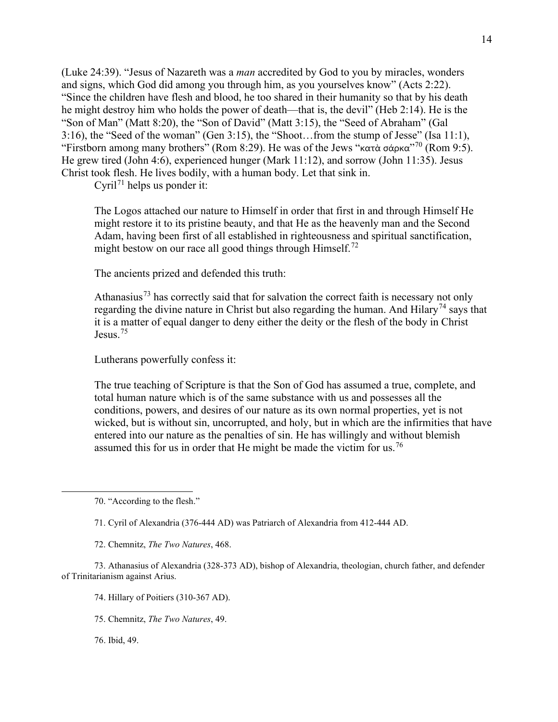(Luke 24:39). "Jesus of Nazareth was a *man* accredited by God to you by miracles, wonders and signs, which God did among you through him, as you yourselves know" (Acts 2:22). "Since the children have flesh and blood, he too shared in their humanity so that by his death he might destroy him who holds the power of death—that is, the devil" (Heb 2:14). He is the "Son of Man" (Matt 8:20), the "Son of David" (Matt 3:15), the "Seed of Abraham" (Gal 3:16), the "Seed of the woman" (Gen 3:15), the "Shoot…from the stump of Jesse" (Isa 11:1), "Firstborn among many brothers" (Rom 8:29). He was of the Jews "κατὰ σάρκα"<sup>[70](#page-15-0)</sup> (Rom 9:5). He grew tired (John 4:6), experienced hunger (Mark 11:12), and sorrow (John 11:35). Jesus Christ took flesh. He lives bodily, with a human body. Let that sink in.

Cyril<sup>[71](#page-15-1)</sup> helps us ponder it:

The Logos attached our nature to Himself in order that first in and through Himself He might restore it to its pristine beauty, and that He as the heavenly man and the Second Adam, having been first of all established in righteousness and spiritual sanctification, might bestow on our race all good things through Himself.<sup>[72](#page-15-2)</sup>

The ancients prized and defended this truth:

Athanasius<sup>[73](#page-15-3)</sup> has correctly said that for salvation the correct faith is necessary not only regarding the divine nature in Christ but also regarding the human. And Hilary<sup>[74](#page-15-4)</sup> says that it is a matter of equal danger to deny either the deity or the flesh of the body in Christ Jesus.[75](#page-15-5)

Lutherans powerfully confess it:

The true teaching of Scripture is that the Son of God has assumed a true, complete, and total human nature which is of the same substance with us and possesses all the conditions, powers, and desires of our nature as its own normal properties, yet is not wicked, but is without sin, uncorrupted, and holy, but in which are the infirmities that have entered into our nature as the penalties of sin. He has willingly and without blemish assumed this for us in order that He might be made the victim for us.<sup>[76](#page-15-6)</sup>

<span id="page-15-5"></span><span id="page-15-4"></span><span id="page-15-3"></span><span id="page-15-2"></span><span id="page-15-1"></span><span id="page-15-0"></span>73. Athanasius of Alexandria (328-373 AD), bishop of Alexandria, theologian, church father, and defender of Trinitarianism against Arius.

74. Hillary of Poitiers (310-367 AD).

75. Chemnitz, *The Two Natures*, 49.

<span id="page-15-6"></span>76. Ibid, 49.

<sup>70.</sup> "According to the flesh."

<sup>71.</sup> Cyril of Alexandria (376-444 AD) was Patriarch of Alexandria from 412-444 AD.

<sup>72.</sup> Chemnitz, *The Two Natures*, 468.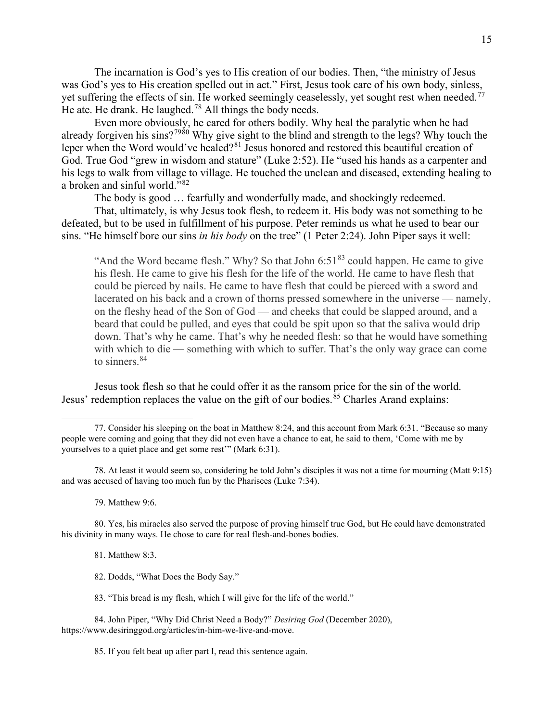The incarnation is God's yes to His creation of our bodies. Then, "the ministry of Jesus was God's yes to His creation spelled out in act." First, Jesus took care of his own body, sinless, yet suffering the effects of sin. He worked seemingly ceaselessly, yet sought rest when needed.<sup>[77](#page-16-0)</sup> He ate. He drank. He laughed.<sup>[78](#page-16-1)</sup> All things the body needs.

Even more obviously, he cared for others bodily. Why heal the paralytic when he had already forgiven his sins?<sup>[79](#page-16-2)[80](#page-16-3)</sup> Why give sight to the blind and strength to the legs? Why touch the leper when the Word would've healed?<sup>[81](#page-16-4)</sup> Jesus honored and restored this beautiful creation of God. True God "grew in wisdom and stature" (Luke 2:52). He "used his hands as a carpenter and his legs to walk from village to village. He touched the unclean and diseased, extending healing to a broken and sinful world."[82](#page-16-5)

The body is good … fearfully and wonderfully made, and shockingly redeemed.

That, ultimately, is why Jesus took flesh, to redeem it. His body was not something to be defeated, but to be used in fulfillment of his purpose. Peter reminds us what he used to bear our sins. "He himself bore our sins *in his body* on the tree" (1 Peter 2:24). John Piper says it well:

"And the Word became flesh." Why? So that John  $6:51^{83}$  $6:51^{83}$  $6:51^{83}$  could happen. He came to give his flesh. He came to give his flesh for the life of the world. He came to have flesh that could be pierced by nails. He came to have flesh that could be pierced with a sword and lacerated on his back and a crown of thorns pressed somewhere in the universe — namely, on the fleshy head of the Son of God — and cheeks that could be slapped around, and a beard that could be pulled, and eyes that could be spit upon so that the saliva would drip down. That's why he came. That's why he needed flesh: so that he would have something with which to die — something with which to suffer. That's the only way grace can come to sinners. [84](#page-16-7)

Jesus took flesh so that he could offer it as the ransom price for the sin of the world. Jesus' redemption replaces the value on the gift of our bodies.<sup>[85](#page-16-8)</sup> Charles Arand explains:

79. Matthew 9:6.

<span id="page-16-4"></span><span id="page-16-3"></span><span id="page-16-2"></span>80. Yes, his miracles also served the purpose of proving himself true God, but He could have demonstrated his divinity in many ways. He chose to care for real flesh-and-bones bodies.

81. Matthew 8:3.

82. Dodds, "What Does the Body Say."

83. "This bread is my flesh, which I will give for the life of the world."

<span id="page-16-8"></span><span id="page-16-7"></span><span id="page-16-6"></span><span id="page-16-5"></span>84. John Piper, "Why Did Christ Need a Body?" *Desiring God* (December 2020), https://www.desiringgod.org/articles/in-him-we-live-and-move.

85. If you felt beat up after part I, read this sentence again.

<span id="page-16-0"></span><sup>77.</sup> Consider his sleeping on the boat in Matthew 8:24, and this account from Mark 6:31. "Because so many people were coming and going that they did not even have a chance to eat, he said to them, 'Come with me by yourselves to a quiet place and get some rest'" (Mark 6:31).

<span id="page-16-1"></span><sup>78.</sup> At least it would seem so, considering he told John's disciples it was not a time for mourning (Matt 9:15) and was accused of having too much fun by the Pharisees (Luke 7:34).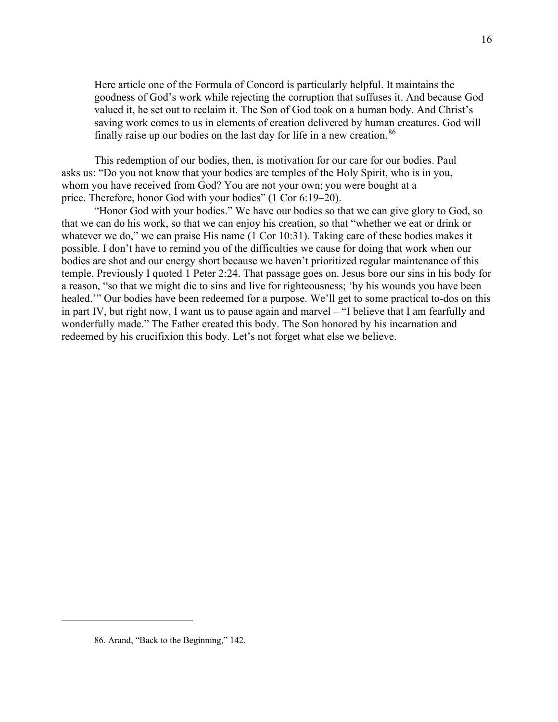Here article one of the Formula of Concord is particularly helpful. It maintains the goodness of God's work while rejecting the corruption that suffuses it. And because God valued it, he set out to reclaim it. The Son of God took on a human body. And Christ's saving work comes to us in elements of creation delivered by human creatures. God will finally raise up our bodies on the last day for life in a new creation.<sup>[86](#page-17-0)</sup>

This redemption of our bodies, then, is motivation for our care for our bodies. Paul asks us: "Do you not know that your bodies are temples of the Holy Spirit, who is in you, whom you have received from God? You are not your own; you were bought at a price. Therefore, honor God with your bodies" (1 Cor 6:19–20).

"Honor God with your bodies." We have our bodies so that we can give glory to God, so that we can do his work, so that we can enjoy his creation, so that "whether we eat or drink or whatever we do," we can praise His name (1 Cor 10:31). Taking care of these bodies makes it possible. I don't have to remind you of the difficulties we cause for doing that work when our bodies are shot and our energy short because we haven't prioritized regular maintenance of this temple. Previously I quoted 1 Peter 2:24. That passage goes on. Jesus bore our sins in his body for a reason, "so that we might die to sins and live for righteousness; 'by his wounds you have been healed." Our bodies have been redeemed for a purpose. We'll get to some practical to-dos on this in part IV, but right now, I want us to pause again and marvel – "I believe that I am fearfully and wonderfully made." The Father created this body. The Son honored by his incarnation and redeemed by his crucifixion this body. Let's not forget what else we believe.

<span id="page-17-0"></span><sup>86.</sup> Arand, "Back to the Beginning," 142.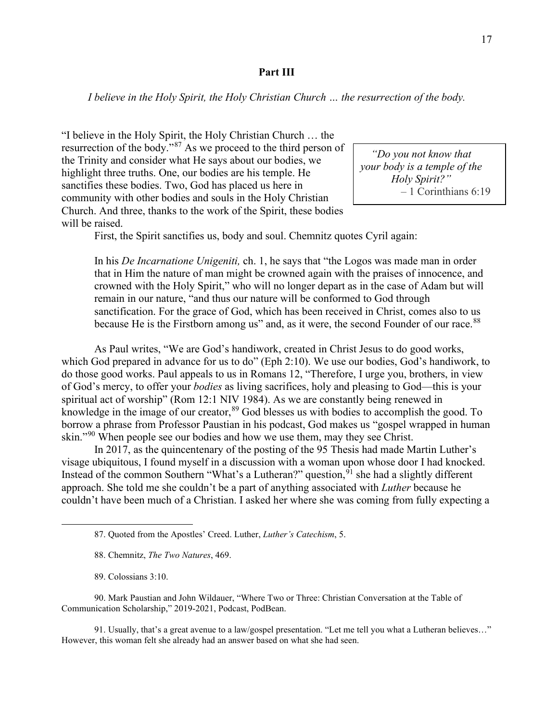## **Part III**

*I believe in the Holy Spirit, the Holy Christian Church … the resurrection of the body.*

"I believe in the Holy Spirit, the Holy Christian Church … the resurrection of the body."<sup>[87](#page-18-0)</sup> As we proceed to the third person of the Trinity and consider what He says about our bodies, we highlight three truths. One, our bodies are his temple. He sanctifies these bodies. Two, God has placed us here in community with other bodies and souls in the Holy Christian Church. And three, thanks to the work of the Spirit, these bodies will be raised.

*"Do you not know that your body is a temple of the Holy Spirit?"* – 1 Corinthians 6:19

First, the Spirit sanctifies us, body and soul. Chemnitz quotes Cyril again:

In his *De Incarnatione Unigeniti,* ch. 1, he says that "the Logos was made man in order that in Him the nature of man might be crowned again with the praises of innocence, and crowned with the Holy Spirit," who will no longer depart as in the case of Adam but will remain in our nature, "and thus our nature will be conformed to God through sanctification. For the grace of God, which has been received in Christ, comes also to us because He is the Firstborn among us" and, as it were, the second Founder of our race.<sup>[88](#page-18-1)</sup>

As Paul writes, "We are God's handiwork, created in Christ Jesus to do good works, which God prepared in advance for us to do" (Eph 2:10). We use our bodies, God's handiwork, to do those good works. Paul appeals to us in Romans 12, "Therefore, I urge you, brothers, in view of God's mercy, to offer your *bodies* as living sacrifices, holy and pleasing to God—this is your spiritual act of worship" (Rom 12:1 NIV 1984). As we are constantly being renewed in knowledge in the image of our creator, <sup>[89](#page-18-2)</sup> God blesses us with bodies to accomplish the good. To borrow a phrase from Professor Paustian in his podcast, God makes us "gospel wrapped in human skin."<sup>[90](#page-18-3)</sup> When people see our bodies and how we use them, may they see Christ.

In 2017, as the quincentenary of the posting of the 95 Thesis had made Martin Luther's visage ubiquitous, I found myself in a discussion with a woman upon whose door I had knocked. Instead of the common Southern "What's a Lutheran?" question, <sup>[91](#page-18-4)</sup> she had a slightly different approach. She told me she couldn't be a part of anything associated with *Luther* because he couldn't have been much of a Christian. I asked her where she was coming from fully expecting a

<span id="page-18-3"></span><span id="page-18-2"></span><span id="page-18-1"></span><span id="page-18-0"></span>90. Mark Paustian and John Wildauer, "Where Two or Three: Christian Conversation at the Table of Communication Scholarship," 2019-2021, Podcast, PodBean.

<span id="page-18-4"></span>91. Usually, that's a great avenue to a law/gospel presentation. "Let me tell you what a Lutheran believes…" However, this woman felt she already had an answer based on what she had seen.

<sup>87.</sup> Quoted from the Apostles' Creed. Luther, *Luther's Catechism*, 5.

<sup>88.</sup> Chemnitz, *The Two Natures*, 469.

<sup>89.</sup> Colossians 3:10.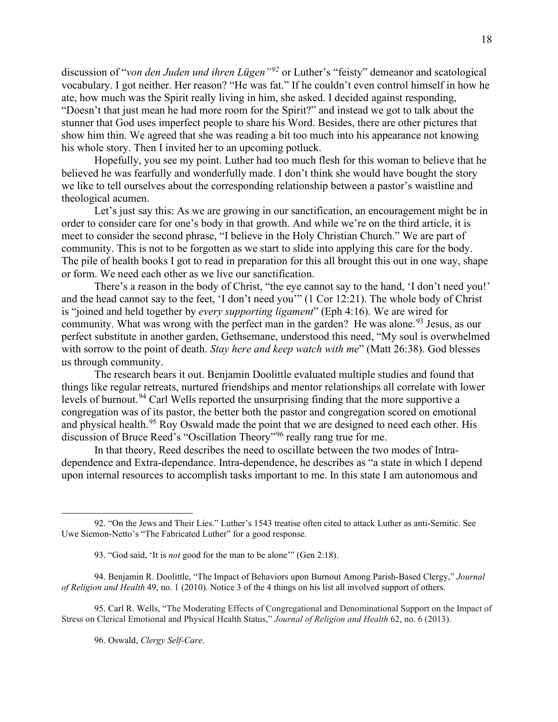discussion of "*von den Juden und ihren Lügen"[92](#page-19-0)* or Luther's "feisty" demeanor and scatological vocabulary. I got neither. Her reason? "He was fat." If he couldn't even control himself in how he ate, how much was the Spirit really living in him, she asked. I decided against responding, "Doesn't that just mean he had more room for the Spirit?" and instead we got to talk about the stunner that God uses imperfect people to share his Word. Besides, there are other pictures that show him thin. We agreed that she was reading a bit too much into his appearance not knowing his whole story. Then I invited her to an upcoming potluck.

Hopefully, you see my point. Luther had too much flesh for this woman to believe that he believed he was fearfully and wonderfully made. I don't think she would have bought the story we like to tell ourselves about the corresponding relationship between a pastor's waistline and theological acumen.

Let's just say this: As we are growing in our sanctification, an encouragement might be in order to consider care for one's body in that growth. And while we're on the third article, it is meet to consider the second phrase, "I believe in the Holy Christian Church." We are part of community. This is not to be forgotten as we start to slide into applying this care for the body. The pile of health books I got to read in preparation for this all brought this out in one way, shape or form. We need each other as we live our sanctification.

There's a reason in the body of Christ, "the eye cannot say to the hand, 'I don't need you!' and the head cannot say to the feet, 'I don't need you'" (1 Cor 12:21). The whole body of Christ is "joined and held together by *every supporting ligament*" (Eph 4:16). We are wired for community. What was wrong with the perfect man in the garden? He was alone.<sup>[93](#page-19-1)</sup> Jesus, as our perfect substitute in another garden, Gethsemane, understood this need, "My soul is overwhelmed with sorrow to the point of death. *Stay here and keep watch with me*" (Matt 26:38). God blesses us through community.

The research bears it out. Benjamin Doolittle evaluated multiple studies and found that things like regular retreats, nurtured friendships and mentor relationships all correlate with lower levels of burnout.<sup>[94](#page-19-2)</sup> Carl Wells reported the unsurprising finding that the more supportive a congregation was of its pastor, the better both the pastor and congregation scored on emotional and physical health.<sup>[95](#page-19-3)</sup> Roy Oswald made the point that we are designed to need each other. His discussion of Bruce Reed's "Oscillation Theory"[96](#page-19-4) really rang true for me.

In that theory, Reed describes the need to oscillate between the two modes of Intradependence and Extra-dependance. Intra-dependence, he describes as "a state in which I depend upon internal resources to accomplish tasks important to me. In this state I am autonomous and

<span id="page-19-4"></span><span id="page-19-3"></span>95. Carl R. Wells, "The Moderating Effects of Congregational and Denominational Support on the Impact of Stress on Clerical Emotional and Physical Health Status," *Journal of Religion and Health* 62, no. 6 (2013).

96. Oswald, *Clergy Self-Care*.

<span id="page-19-0"></span><sup>92.</sup> "On the Jews and Their Lies." Luther's 1543 treatise often cited to attack Luther as anti-Semitic. See Uwe Siemon-Netto's "The Fabricated Luther" for a good response.

<sup>93.</sup> "God said, 'It is *not* good for the man to be alone'" (Gen 2:18).

<span id="page-19-2"></span><span id="page-19-1"></span><sup>94.</sup> Benjamin R. Doolittle, "The Impact of Behaviors upon Burnout Among Parish-Based Clergy," *Journal of Religion and Health* 49, no. 1 (2010). Notice 3 of the 4 things on his list all involved support of others.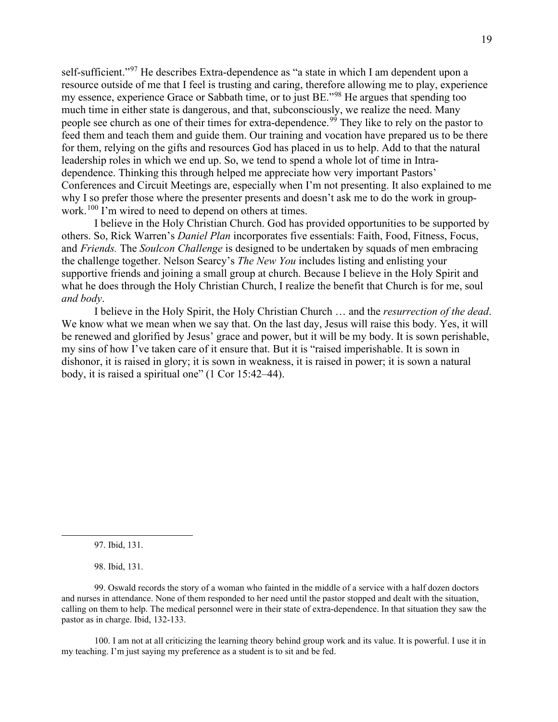self-sufficient."<sup>[97](#page-20-0)</sup> He describes Extra-dependence as "a state in which I am dependent upon a resource outside of me that I feel is trusting and caring, therefore allowing me to play, experience my essence, experience Grace or Sabbath time, or to just BE."[98](#page-20-1) He argues that spending too much time in either state is dangerous, and that, subconsciously, we realize the need. Many people see church as one of their times for extra-dependence.<sup>[99](#page-20-2)</sup> They like to rely on the pastor to feed them and teach them and guide them. Our training and vocation have prepared us to be there for them, relying on the gifts and resources God has placed in us to help. Add to that the natural leadership roles in which we end up. So, we tend to spend a whole lot of time in Intradependence. Thinking this through helped me appreciate how very important Pastors' Conferences and Circuit Meetings are, especially when I'm not presenting. It also explained to me why I so prefer those where the presenter presents and doesn't ask me to do the work in group-work.<sup>[100](#page-20-3)</sup> I'm wired to need to depend on others at times.

I believe in the Holy Christian Church. God has provided opportunities to be supported by others. So, Rick Warren's *Daniel Plan* incorporates five essentials: Faith, Food, Fitness, Focus, and *Friends.* The *Soulcon Challenge* is designed to be undertaken by squads of men embracing the challenge together. Nelson Searcy's *The New You* includes listing and enlisting your supportive friends and joining a small group at church. Because I believe in the Holy Spirit and what he does through the Holy Christian Church, I realize the benefit that Church is for me, soul *and body*.

I believe in the Holy Spirit, the Holy Christian Church … and the *resurrection of the dead*. We know what we mean when we say that. On the last day, Jesus will raise this body. Yes, it will be renewed and glorified by Jesus' grace and power, but it will be my body. It is sown perishable, my sins of how I've taken care of it ensure that. But it is "raised imperishable. It is sown in dishonor, it is raised in glory; it is sown in weakness, it is raised in power; it is sown a natural body, it is raised a spiritual one" (1 Cor 15:42–44).

98. Ibid, 131.

<span id="page-20-3"></span>100. I am not at all criticizing the learning theory behind group work and its value. It is powerful. I use it in my teaching. I'm just saying my preference as a student is to sit and be fed.

<sup>97.</sup> Ibid, 131.

<span id="page-20-2"></span><span id="page-20-1"></span><span id="page-20-0"></span><sup>99.</sup> Oswald records the story of a woman who fainted in the middle of a service with a half dozen doctors and nurses in attendance. None of them responded to her need until the pastor stopped and dealt with the situation, calling on them to help. The medical personnel were in their state of extra-dependence. In that situation they saw the pastor as in charge. Ibid, 132-133.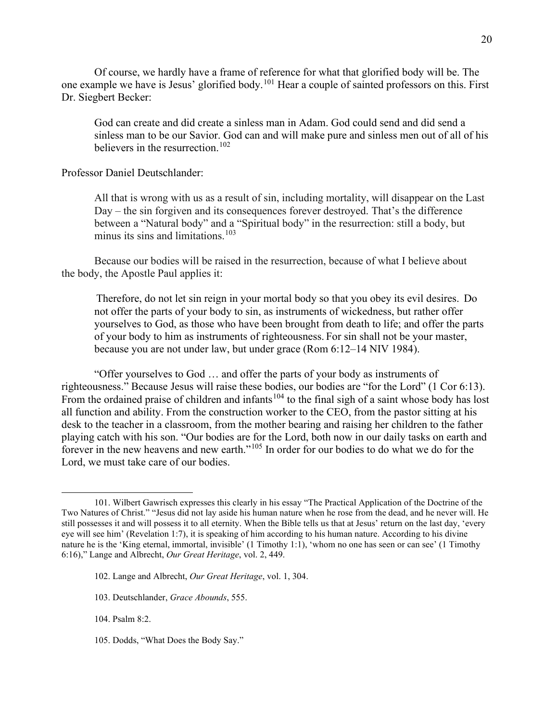Of course, we hardly have a frame of reference for what that glorified body will be. The one example we have is Jesus' glorified body.<sup>[101](#page-21-0)</sup> Hear a couple of sainted professors on this. First Dr. Siegbert Becker:

God can create and did create a sinless man in Adam. God could send and did send a sinless man to be our Savior. God can and will make pure and sinless men out of all of his believers in the resurrection.<sup>[102](#page-21-1)</sup>

Professor Daniel Deutschlander:

All that is wrong with us as a result of sin, including mortality, will disappear on the Last Day – the sin forgiven and its consequences forever destroyed. That's the difference between a "Natural body" and a "Spiritual body" in the resurrection: still a body, but minus its sins and limitations. $103$ 

Because our bodies will be raised in the resurrection, because of what I believe about the body, the Apostle Paul applies it:

Therefore, do not let sin reign in your mortal body so that you obey its evil desires. Do not offer the parts of your body to sin, as instruments of wickedness, but rather offer yourselves to God, as those who have been brought from death to life; and offer the parts of your body to him as instruments of righteousness. For sin shall not be your master, because you are not under law, but under grace (Rom 6:12–14 NIV 1984).

"Offer yourselves to God … and offer the parts of your body as instruments of righteousness." Because Jesus will raise these bodies, our bodies are "for the Lord" (1 Cor 6:13). From the ordained praise of children and infants<sup>[104](#page-21-3)</sup> to the final sigh of a saint whose body has lost all function and ability. From the construction worker to the CEO, from the pastor sitting at his desk to the teacher in a classroom, from the mother bearing and raising her children to the father playing catch with his son. "Our bodies are for the Lord, both now in our daily tasks on earth and forever in the new heavens and new earth."<sup>[105](#page-21-4)</sup> In order for our bodies to do what we do for the Lord, we must take care of our bodies.

<span id="page-21-2"></span>103. Deutschlander, *Grace Abounds*, 555.

<span id="page-21-3"></span>104. Psalm 8:2.

<span id="page-21-4"></span>105. Dodds, "What Does the Body Say."

<span id="page-21-0"></span><sup>101.</sup> Wilbert Gawrisch expresses this clearly in his essay "The Practical Application of the Doctrine of the Two Natures of Christ." "Jesus did not lay aside his human nature when he rose from the dead, and he never will. He still possesses it and will possess it to all eternity. When the Bible tells us that at Jesus' return on the last day, 'every eye will see him' (Revelation 1:7), it is speaking of him according to his human nature. According to his divine nature he is the 'King eternal, immortal, invisible' (1 Timothy 1:1), 'whom no one has seen or can see' (1 Timothy 6:16)," Lange and Albrecht, *Our Great Heritage*, vol. 2, 449.

<span id="page-21-1"></span><sup>102.</sup> Lange and Albrecht, *Our Great Heritage*, vol. 1, 304.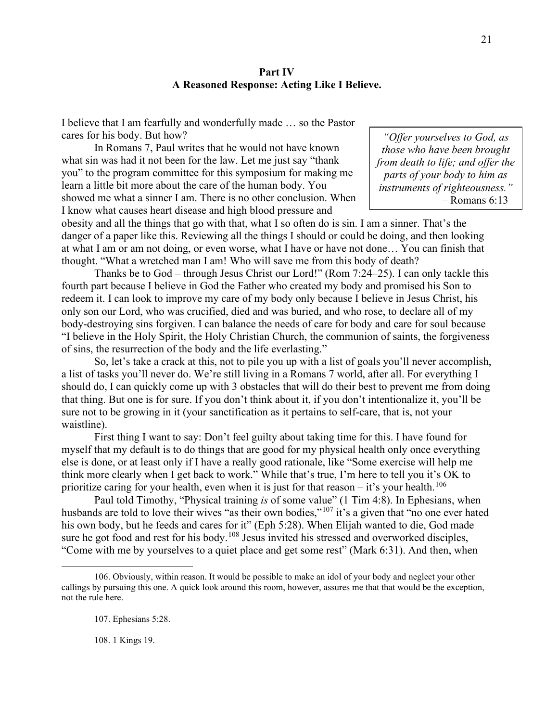# **Part IV A Reasoned Response: Acting Like I Believe.**

I believe that I am fearfully and wonderfully made … so the Pastor cares for his body. But how?

In Romans 7, Paul writes that he would not have known what sin was had it not been for the law. Let me just say "thank you" to the program committee for this symposium for making me learn a little bit more about the care of the human body. You showed me what a sinner I am. There is no other conclusion. When I know what causes heart disease and high blood pressure and

*"Offer yourselves to God, as those who have been brought from death to life; and offer the parts of your body to him as instruments of righteousness."*  $-$  Romans 6:13

obesity and all the things that go with that, what I so often do is sin. I am a sinner. That's the danger of a paper like this. Reviewing all the things I should or could be doing, and then looking at what I am or am not doing, or even worse, what I have or have not done… You can finish that thought. "What a wretched man I am! Who will save me from this body of death?

Thanks be to God – through Jesus Christ our Lord!" (Rom 7:24–25). I can only tackle this fourth part because I believe in God the Father who created my body and promised his Son to redeem it. I can look to improve my care of my body only because I believe in Jesus Christ, his only son our Lord, who was crucified, died and was buried, and who rose, to declare all of my body-destroying sins forgiven. I can balance the needs of care for body and care for soul because "I believe in the Holy Spirit, the Holy Christian Church, the communion of saints, the forgiveness of sins, the resurrection of the body and the life everlasting."

So, let's take a crack at this, not to pile you up with a list of goals you'll never accomplish, a list of tasks you'll never do. We're still living in a Romans 7 world, after all. For everything I should do, I can quickly come up with 3 obstacles that will do their best to prevent me from doing that thing. But one is for sure. If you don't think about it, if you don't intentionalize it, you'll be sure not to be growing in it (your sanctification as it pertains to self-care, that is, not your waistline).

First thing I want to say: Don't feel guilty about taking time for this. I have found for myself that my default is to do things that are good for my physical health only once everything else is done, or at least only if I have a really good rationale, like "Some exercise will help me think more clearly when I get back to work." While that's true, I'm here to tell you it's OK to prioritize caring for your health, even when it is just for that reason – it's your health.<sup>[106](#page-22-0)</sup>

Paul told Timothy, "Physical training *is* of some value" (1 Tim 4:8). In Ephesians, when husbands are told to love their wives "as their own bodies,"<sup>[107](#page-22-1)</sup> it's a given that "no one ever hated his own body, but he feeds and cares for it" (Eph 5:28). When Elijah wanted to die, God made sure he got food and rest for his body.<sup>[108](#page-22-2)</sup> Jesus invited his stressed and overworked disciples, "Come with me by yourselves to a quiet place and get some rest" (Mark 6:31). And then, when

108. 1 Kings 19.

<span id="page-22-2"></span><span id="page-22-1"></span><span id="page-22-0"></span><sup>106.</sup> Obviously, within reason. It would be possible to make an idol of your body and neglect your other callings by pursuing this one. A quick look around this room, however, assures me that that would be the exception, not the rule here.

<sup>107.</sup> Ephesians 5:28.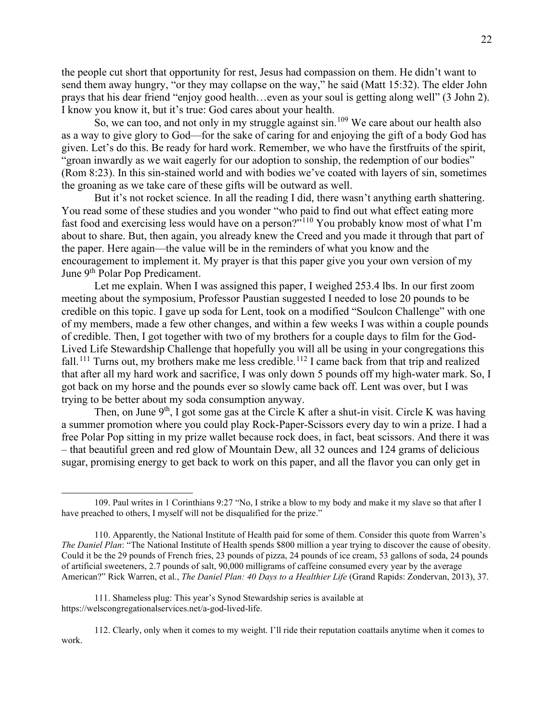the people cut short that opportunity for rest, Jesus had compassion on them. He didn't want to send them away hungry, "or they may collapse on the way," he said (Matt 15:32). The elder John prays that his dear friend "enjoy good health…even as your soul is getting along well" (3 John 2). I know you know it, but it's true: God cares about your health.

So, we can too, and not only in my struggle against sin.<sup>[109](#page-23-0)</sup> We care about our health also as a way to give glory to God—for the sake of caring for and enjoying the gift of a body God has given. Let's do this. Be ready for hard work. Remember, we who have the firstfruits of the spirit, "groan inwardly as we wait eagerly for our adoption to sonship, the redemption of our bodies" (Rom 8:23). In this sin-stained world and with bodies we've coated with layers of sin, sometimes the groaning as we take care of these gifts will be outward as well.

But it's not rocket science. In all the reading I did, there wasn't anything earth shattering. You read some of these studies and you wonder "who paid to find out what effect eating more fast food and exercising less would have on a person?"<sup>[110](#page-23-1)</sup> You probably know most of what I'm about to share. But, then again, you already knew the Creed and you made it through that part of the paper. Here again—the value will be in the reminders of what you know and the encouragement to implement it. My prayer is that this paper give you your own version of my June 9<sup>th</sup> Polar Pop Predicament.

Let me explain. When I was assigned this paper, I weighed 253.4 lbs. In our first zoom meeting about the symposium, Professor Paustian suggested I needed to lose 20 pounds to be credible on this topic. I gave up soda for Lent, took on a modified "Soulcon Challenge" with one of my members, made a few other changes, and within a few weeks I was within a couple pounds of credible. Then, I got together with two of my brothers for a couple days to film for the God-Lived Life Stewardship Challenge that hopefully you will all be using in your congregations this fall.<sup>[111](#page-23-2)</sup> Turns out, my brothers make me less credible.<sup>[112](#page-23-3)</sup> I came back from that trip and realized that after all my hard work and sacrifice, I was only down 5 pounds off my high-water mark. So, I got back on my horse and the pounds ever so slowly came back off. Lent was over, but I was trying to be better about my soda consumption anyway.

Then, on June  $9<sup>th</sup>$ , I got some gas at the Circle K after a shut-in visit. Circle K was having a summer promotion where you could play Rock-Paper-Scissors every day to win a prize. I had a free Polar Pop sitting in my prize wallet because rock does, in fact, beat scissors. And there it was – that beautiful green and red glow of Mountain Dew, all 32 ounces and 124 grams of delicious sugar, promising energy to get back to work on this paper, and all the flavor you can only get in

<span id="page-23-3"></span>112. Clearly, only when it comes to my weight. I'll ride their reputation coattails anytime when it comes to work.

<span id="page-23-0"></span><sup>109.</sup> Paul writes in 1 Corinthians 9:27 "No, I strike a blow to my body and make it my slave so that after I have preached to others, I myself will not be disqualified for the prize."

<span id="page-23-1"></span><sup>110.</sup> Apparently, the National Institute of Health paid for some of them. Consider this quote from Warren's *The Daniel Plan*: "The National Institute of Health spends \$800 million a year trying to discover the cause of obesity. Could it be the 29 pounds of French fries, 23 pounds of pizza, 24 pounds of ice cream, 53 gallons of soda, 24 pounds of artificial sweeteners, 2.7 pounds of salt, 90,000 milligrams of caffeine consumed every year by the average American?" Rick Warren, et al., *The Daniel Plan: 40 Days to a Healthier Life* (Grand Rapids: Zondervan, 2013), 37.

<span id="page-23-2"></span><sup>111.</sup> Shameless plug: This year's Synod Stewardship series is available at https://welscongregationalservices.net/a-god-lived-life.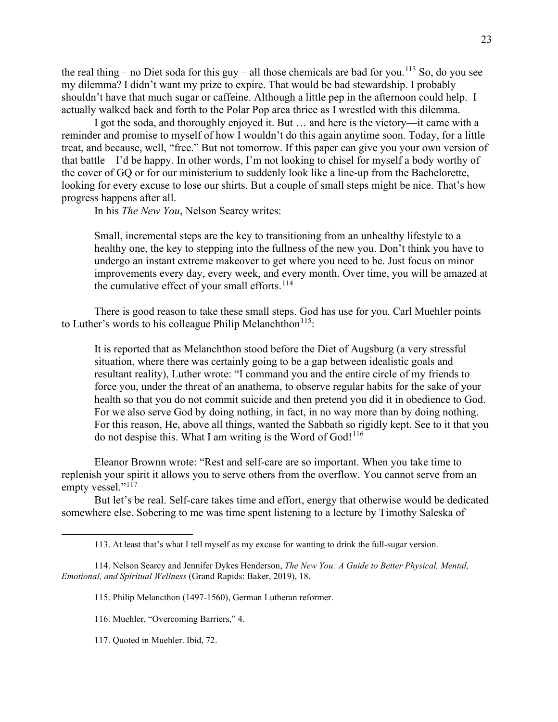the real thing – no Diet soda for this guy – all those chemicals are bad for you.<sup>[113](#page-24-0)</sup> So, do you see my dilemma? I didn't want my prize to expire. That would be bad stewardship. I probably shouldn't have that much sugar or caffeine. Although a little pep in the afternoon could help. I actually walked back and forth to the Polar Pop area thrice as I wrestled with this dilemma.

I got the soda, and thoroughly enjoyed it. But … and here is the victory—it came with a reminder and promise to myself of how I wouldn't do this again anytime soon. Today, for a little treat, and because, well, "free." But not tomorrow. If this paper can give you your own version of that battle – I'd be happy. In other words, I'm not looking to chisel for myself a body worthy of the cover of GQ or for our ministerium to suddenly look like a line-up from the Bachelorette, looking for every excuse to lose our shirts. But a couple of small steps might be nice. That's how progress happens after all.

In his *The New You*, Nelson Searcy writes:

Small, incremental steps are the key to transitioning from an unhealthy lifestyle to a healthy one, the key to stepping into the fullness of the new you. Don't think you have to undergo an instant extreme makeover to get where you need to be. Just focus on minor improvements every day, every week, and every month. Over time, you will be amazed at the cumulative effect of your small efforts.<sup>[114](#page-24-1)</sup>

There is good reason to take these small steps. God has use for you. Carl Muehler points to Luther's words to his colleague Philip Melanchthon<sup>[115](#page-24-2)</sup>:

It is reported that as Melanchthon stood before the Diet of Augsburg (a very stressful situation, where there was certainly going to be a gap between idealistic goals and resultant reality), Luther wrote: "I command you and the entire circle of my friends to force you, under the threat of an anathema, to observe regular habits for the sake of your health so that you do not commit suicide and then pretend you did it in obedience to God. For we also serve God by doing nothing, in fact, in no way more than by doing nothing. For this reason, He, above all things, wanted the Sabbath so rigidly kept. See to it that you do not despise this. What I am writing is the Word of God!<sup>[116](#page-24-3)</sup>

Eleanor Brownn wrote: "Rest and self-care are so important. When you take time to replenish your spirit it allows you to serve others from the overflow. You cannot serve from an empty vessel."<sup>[117](#page-24-4)</sup>

But let's be real. Self-care takes time and effort, energy that otherwise would be dedicated somewhere else. Sobering to me was time spent listening to a lecture by Timothy Saleska of

- 115. Philip Melancthon (1497-1560), German Lutheran reformer.
- 116. Muehler, "Overcoming Barriers," 4.
- <span id="page-24-4"></span>117. Quoted in Muehler. Ibid, 72.

<sup>113.</sup> At least that's what I tell myself as my excuse for wanting to drink the full-sugar version.

<span id="page-24-3"></span><span id="page-24-2"></span><span id="page-24-1"></span><span id="page-24-0"></span><sup>114.</sup> Nelson Searcy and Jennifer Dykes Henderson, *The New You: A Guide to Better Physical, Mental, Emotional, and Spiritual Wellness* (Grand Rapids: Baker, 2019), 18.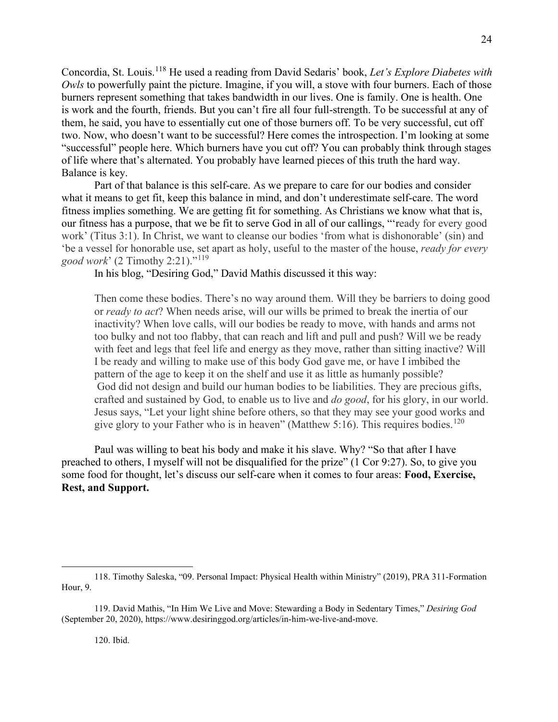Concordia, St. Louis.[118](#page-25-0) He used a reading from David Sedaris' book, *Let's Explore Diabetes with Owls* to powerfully paint the picture. Imagine, if you will, a stove with four burners. Each of those burners represent something that takes bandwidth in our lives. One is family. One is health. One is work and the fourth, friends. But you can't fire all four full-strength. To be successful at any of them, he said, you have to essentially cut one of those burners off. To be very successful, cut off two. Now, who doesn't want to be successful? Here comes the introspection. I'm looking at some "successful" people here. Which burners have you cut off? You can probably think through stages of life where that's alternated. You probably have learned pieces of this truth the hard way. Balance is key.

Part of that balance is this self-care. As we prepare to care for our bodies and consider what it means to get fit, keep this balance in mind, and don't underestimate self-care. The word fitness implies something. We are getting fit for something. As Christians we know what that is, our fitness has a purpose, that we be fit to serve God in all of our callings, "'ready for every good work' (Titus 3:1). In Christ, we want to cleanse our bodies 'from what is dishonorable' (sin) and 'be a vessel for honorable use, set apart as holy, useful to the master of the house, *ready for every good work*' (2 Timothy 2:21)."[119](#page-25-1)

In his blog, "Desiring God," David Mathis discussed it this way:

Then come these bodies. There's no way around them. Will they be barriers to doing good or *ready to act*? When needs arise, will our wills be primed to break the inertia of our inactivity? When love calls, will our bodies be ready to move, with hands and arms not too bulky and not too flabby, that can reach and lift and pull and push? Will we be ready with feet and legs that feel life and energy as they move, rather than sitting inactive? Will I be ready and willing to make use of this body God gave me, or have I imbibed the pattern of the age to keep it on the shelf and use it as little as humanly possible? God did not design and build our human bodies to be liabilities. They are precious gifts, crafted and sustained by God, to enable us to live and *do good*, for his glory, in our world. Jesus says, "Let your light shine before others, so that they may see your good works and give glory to your Father who is in heaven" (Matthew 5:16). This requires bodies.<sup>[120](#page-25-2)</sup>

Paul was willing to beat his body and make it his slave. Why? "So that after I have preached to others, I myself will not be disqualified for the prize" (1 Cor 9:27). So, to give you some food for thought, let's discuss our self-care when it comes to four areas: **Food, Exercise, Rest, and Support.**

<span id="page-25-0"></span><sup>118.</sup> Timothy Saleska, "09. Personal Impact: Physical Health within Ministry" (2019), PRA 311-Formation Hour, 9.

<span id="page-25-2"></span><span id="page-25-1"></span><sup>119.</sup> David Mathis, "In Him We Live and Move: Stewarding a Body in Sedentary Times," *Desiring God*  (September 20, 2020)[, https://www.desiringgod.org/articles/in-him-we-live-and-move.](https://www.desiringgod.org/articles/in-him-we-live-and-move)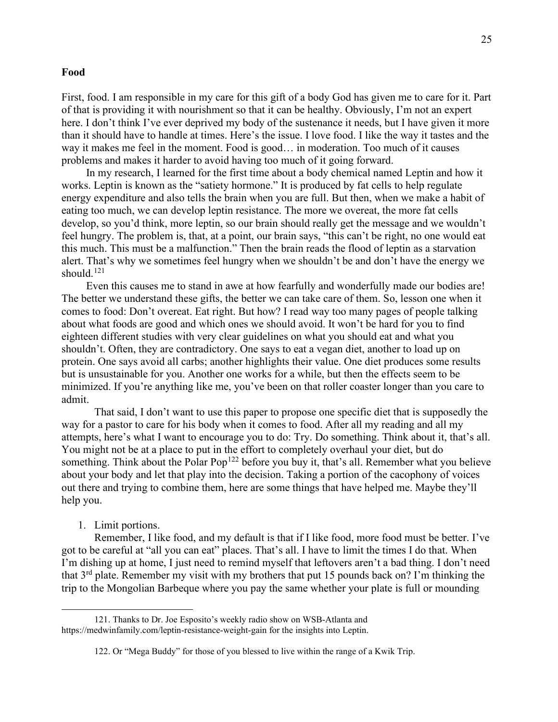#### **Food**

First, food. I am responsible in my care for this gift of a body God has given me to care for it. Part of that is providing it with nourishment so that it can be healthy. Obviously, I'm not an expert here. I don't think I've ever deprived my body of the sustenance it needs, but I have given it more than it should have to handle at times. Here's the issue. I love food. I like the way it tastes and the way it makes me feel in the moment. Food is good… in moderation. Too much of it causes problems and makes it harder to avoid having too much of it going forward.

In my research, I learned for the first time about a body chemical named Leptin and how it works. Leptin is known as the "satiety hormone." It is produced by fat cells to help regulate energy expenditure and also tells the brain when you are full. But then, when we make a habit of eating too much, we can develop leptin resistance. The more we overeat, the more fat cells develop, so you'd think, more leptin, so our brain should really get the message and we wouldn't feel hungry. The problem is, that, at a point, our brain says, "this can't be right, no one would eat this much. This must be a malfunction." Then the brain reads the flood of leptin as a starvation alert. That's why we sometimes feel hungry when we shouldn't be and don't have the energy we should. [121](#page-26-0)

Even this causes me to stand in awe at how fearfully and wonderfully made our bodies are! The better we understand these gifts, the better we can take care of them. So, lesson one when it comes to food: Don't overeat. Eat right. But how? I read way too many pages of people talking about what foods are good and which ones we should avoid. It won't be hard for you to find eighteen different studies with very clear guidelines on what you should eat and what you shouldn't. Often, they are contradictory. One says to eat a vegan diet, another to load up on protein. One says avoid all carbs; another highlights their value. One diet produces some results but is unsustainable for you. Another one works for a while, but then the effects seem to be minimized. If you're anything like me, you've been on that roller coaster longer than you care to admit.

That said, I don't want to use this paper to propose one specific diet that is supposedly the way for a pastor to care for his body when it comes to food. After all my reading and all my attempts, here's what I want to encourage you to do: Try. Do something. Think about it, that's all. You might not be at a place to put in the effort to completely overhaul your diet, but do something. Think about the Polar Pop<sup>[122](#page-26-1)</sup> before you buy it, that's all. Remember what you believe about your body and let that play into the decision. Taking a portion of the cacophony of voices out there and trying to combine them, here are some things that have helped me. Maybe they'll help you.

## 1. Limit portions.

Remember, I like food, and my default is that if I like food, more food must be better. I've got to be careful at "all you can eat" places. That's all. I have to limit the times I do that. When I'm dishing up at home, I just need to remind myself that leftovers aren't a bad thing. I don't need that  $3<sup>rd</sup>$  plate. Remember my visit with my brothers that put 15 pounds back on? I'm thinking the trip to the Mongolian Barbeque where you pay the same whether your plate is full or mounding

<span id="page-26-1"></span><span id="page-26-0"></span><sup>121.</sup> Thanks to Dr. Joe Esposito's weekly radio show on WSB-Atlanta and https://medwinfamily.com/leptin-resistance-weight-gain for the insights into Leptin.

<sup>122.</sup> Or "Mega Buddy" for those of you blessed to live within the range of a Kwik Trip.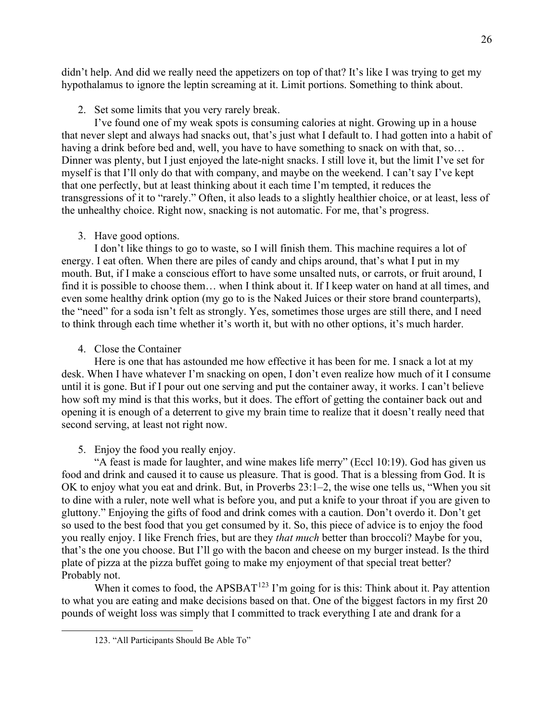didn't help. And did we really need the appetizers on top of that? It's like I was trying to get my hypothalamus to ignore the leptin screaming at it. Limit portions. Something to think about.

2. Set some limits that you very rarely break.

I've found one of my weak spots is consuming calories at night. Growing up in a house that never slept and always had snacks out, that's just what I default to. I had gotten into a habit of having a drink before bed and, well, you have to have something to snack on with that, so... Dinner was plenty, but I just enjoyed the late-night snacks. I still love it, but the limit I've set for myself is that I'll only do that with company, and maybe on the weekend. I can't say I've kept that one perfectly, but at least thinking about it each time I'm tempted, it reduces the transgressions of it to "rarely." Often, it also leads to a slightly healthier choice, or at least, less of the unhealthy choice. Right now, snacking is not automatic. For me, that's progress.

3. Have good options.

I don't like things to go to waste, so I will finish them. This machine requires a lot of energy. I eat often. When there are piles of candy and chips around, that's what I put in my mouth. But, if I make a conscious effort to have some unsalted nuts, or carrots, or fruit around, I find it is possible to choose them… when I think about it. If I keep water on hand at all times, and even some healthy drink option (my go to is the Naked Juices or their store brand counterparts), the "need" for a soda isn't felt as strongly. Yes, sometimes those urges are still there, and I need to think through each time whether it's worth it, but with no other options, it's much harder.

4. Close the Container

Here is one that has astounded me how effective it has been for me. I snack a lot at my desk. When I have whatever I'm snacking on open, I don't even realize how much of it I consume until it is gone. But if I pour out one serving and put the container away, it works. I can't believe how soft my mind is that this works, but it does. The effort of getting the container back out and opening it is enough of a deterrent to give my brain time to realize that it doesn't really need that second serving, at least not right now.

5. Enjoy the food you really enjoy.

"A feast is made for laughter, and wine makes life merry" (Eccl 10:19). God has given us food and drink and caused it to cause us pleasure. That is good. That is a blessing from God. It is OK to enjoy what you eat and drink. But, in Proverbs 23:1–2, the wise one tells us, "When you sit to dine with a ruler, note well what is before you, and put a knife to your throat if you are given to gluttony." Enjoying the gifts of food and drink comes with a caution. Don't overdo it. Don't get so used to the best food that you get consumed by it. So, this piece of advice is to enjoy the food you really enjoy. I like French fries, but are they *that much* better than broccoli? Maybe for you, that's the one you choose. But I'll go with the bacon and cheese on my burger instead. Is the third plate of pizza at the pizza buffet going to make my enjoyment of that special treat better? Probably not.

<span id="page-27-0"></span>When it comes to food, the APSBAT<sup>[123](#page-27-0)</sup> I'm going for is this: Think about it. Pay attention to what you are eating and make decisions based on that. One of the biggest factors in my first 20 pounds of weight loss was simply that I committed to track everything I ate and drank for a

<sup>123.</sup> "All Participants Should Be Able To"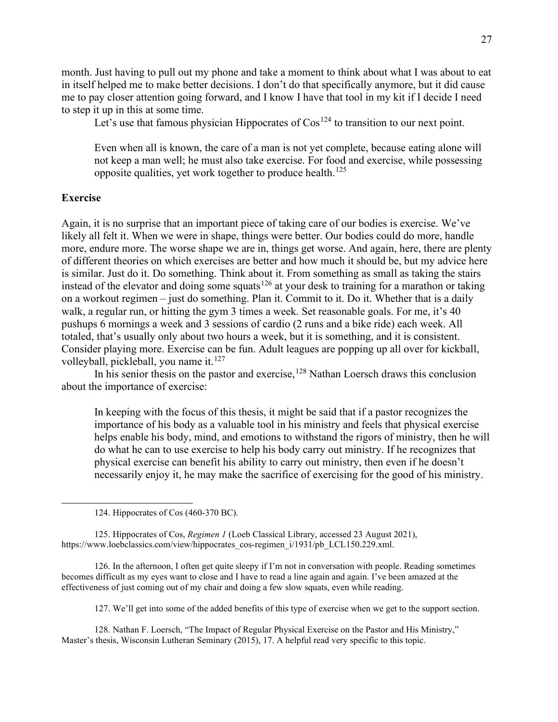month. Just having to pull out my phone and take a moment to think about what I was about to eat in itself helped me to make better decisions. I don't do that specifically anymore, but it did cause me to pay closer attention going forward, and I know I have that tool in my kit if I decide I need to step it up in this at some time.

Let's use that famous physician Hippocrates of  $\cos^{124}$  $\cos^{124}$  $\cos^{124}$  to transition to our next point.

Even when all is known, the care of a man is not yet complete, because eating alone will not keep a man well; he must also take exercise. For food and exercise, while possessing opposite qualities, yet work together to produce health.<sup>[125](#page-28-1)</sup>

## **Exercise**

Again, it is no surprise that an important piece of taking care of our bodies is exercise. We've likely all felt it. When we were in shape, things were better. Our bodies could do more, handle more, endure more. The worse shape we are in, things get worse. And again, here, there are plenty of different theories on which exercises are better and how much it should be, but my advice here is similar. Just do it. Do something. Think about it. From something as small as taking the stairs instead of the elevator and doing some squats<sup>[126](#page-28-2)</sup> at your desk to training for a marathon or taking on a workout regimen – just do something. Plan it. Commit to it. Do it. Whether that is a daily walk, a regular run, or hitting the gym 3 times a week. Set reasonable goals. For me, it's 40 pushups 6 mornings a week and 3 sessions of cardio (2 runs and a bike ride) each week. All totaled, that's usually only about two hours a week, but it is something, and it is consistent. Consider playing more. Exercise can be fun. Adult leagues are popping up all over for kickball, volleyball, pickleball, you name it. $127$ 

In his senior thesis on the pastor and exercise, <sup>[128](#page-28-4)</sup> Nathan Loersch draws this conclusion about the importance of exercise:

In keeping with the focus of this thesis, it might be said that if a pastor recognizes the importance of his body as a valuable tool in his ministry and feels that physical exercise helps enable his body, mind, and emotions to withstand the rigors of ministry, then he will do what he can to use exercise to help his body carry out ministry. If he recognizes that physical exercise can benefit his ability to carry out ministry, then even if he doesn't necessarily enjoy it, he may make the sacrifice of exercising for the good of his ministry.

<span id="page-28-1"></span><span id="page-28-0"></span>125. Hippocrates of Cos, *Regimen 1* (Loeb Classical Library, accessed 23 August 2021), https://www.loebclassics.com/view/hippocrates\_cos-regimen\_i/1931/pb\_LCL150.229.xml.

<span id="page-28-2"></span>126. In the afternoon, I often get quite sleepy if I'm not in conversation with people. Reading sometimes becomes difficult as my eyes want to close and I have to read a line again and again. I've been amazed at the effectiveness of just coming out of my chair and doing a few slow squats, even while reading.

127. We'll get into some of the added benefits of this type of exercise when we get to the support section.

<span id="page-28-4"></span><span id="page-28-3"></span>128. Nathan F. Loersch, "The Impact of Regular Physical Exercise on the Pastor and His Ministry," Master's thesis, Wisconsin Lutheran Seminary (2015), 17. A helpful read very specific to this topic.

<sup>124.</sup> Hippocrates of Cos (460-370 BC).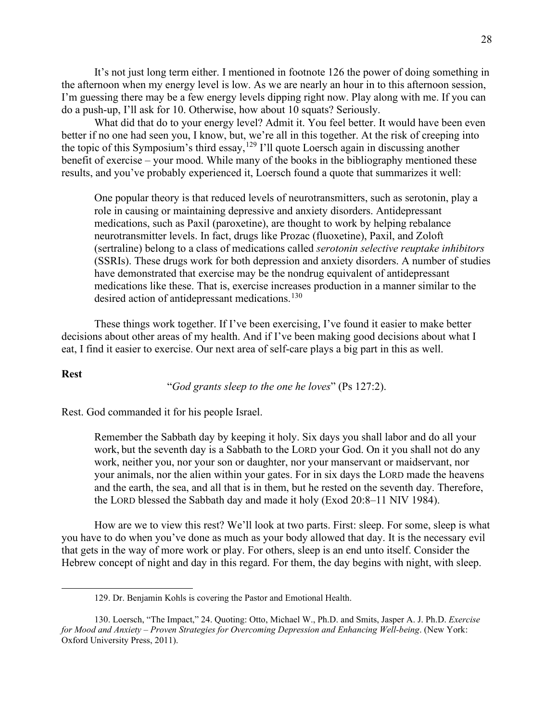It's not just long term either. I mentioned in footnote 126 the power of doing something in the afternoon when my energy level is low. As we are nearly an hour in to this afternoon session, I'm guessing there may be a few energy levels dipping right now. Play along with me. If you can do a push-up, I'll ask for 10. Otherwise, how about 10 squats? Seriously.

What did that do to your energy level? Admit it. You feel better. It would have been even better if no one had seen you, I know, but, we're all in this together. At the risk of creeping into the topic of this Symposium's third essay, <sup>[129](#page-29-0)</sup> I'll quote Loersch again in discussing another benefit of exercise – your mood. While many of the books in the bibliography mentioned these results, and you've probably experienced it, Loersch found a quote that summarizes it well:

One popular theory is that reduced levels of neurotransmitters, such as serotonin, play a role in causing or maintaining depressive and anxiety disorders. Antidepressant medications, such as Paxil (paroxetine), are thought to work by helping rebalance neurotransmitter levels. In fact, drugs like Prozac (fluoxetine), Paxil, and Zoloft (sertraline) belong to a class of medications called *serotonin selective reuptake inhibitors* (SSRIs). These drugs work for both depression and anxiety disorders. A number of studies have demonstrated that exercise may be the nondrug equivalent of antidepressant medications like these. That is, exercise increases production in a manner similar to the desired action of antidepressant medications.<sup>[130](#page-29-1)</sup>

These things work together. If I've been exercising, I've found it easier to make better decisions about other areas of my health. And if I've been making good decisions about what I eat, I find it easier to exercise. Our next area of self-care plays a big part in this as well.

## **Rest**

"*God grants sleep to the one he loves*" (Ps 127:2).

Rest. God commanded it for his people Israel.

Remember the Sabbath day by keeping it holy. Six days you shall labor and do all your work, but the seventh day is a Sabbath to the LORD your God. On it you shall not do any work, neither you, nor your son or daughter, nor your manservant or maidservant, nor your animals, nor the alien within your gates. For in six days the LORD made the heavens and the earth, the sea, and all that is in them, but he rested on the seventh day. Therefore, the LORD blessed the Sabbath day and made it holy (Exod 20:8–11 NIV 1984).

How are we to view this rest? We'll look at two parts. First: sleep. For some, sleep is what you have to do when you've done as much as your body allowed that day. It is the necessary evil that gets in the way of more work or play. For others, sleep is an end unto itself. Consider the Hebrew concept of night and day in this regard. For them, the day begins with night, with sleep.

<sup>129.</sup> Dr. Benjamin Kohls is covering the Pastor and Emotional Health.

<span id="page-29-1"></span><span id="page-29-0"></span><sup>130.</sup> Loersch, "The Impact," 24. Quoting: Otto, Michael W., Ph.D. and Smits, Jasper A. J. Ph.D. *Exercise for Mood and Anxiety – Proven Strategies for Overcoming Depression and Enhancing Well-being*. (New York: Oxford University Press, 2011).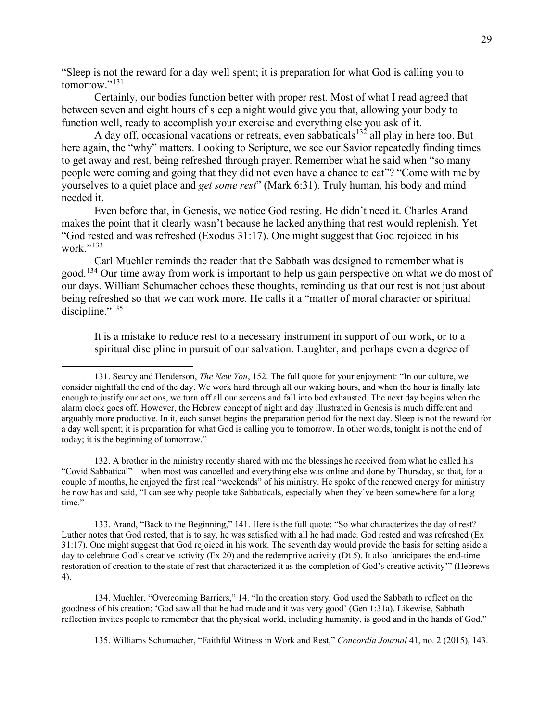"Sleep is not the reward for a day well spent; it is preparation for what God is calling you to  $tomorrow.$ <sup>[131](#page-30-0)</sup>

Certainly, our bodies function better with proper rest. Most of what I read agreed that between seven and eight hours of sleep a night would give you that, allowing your body to function well, ready to accomplish your exercise and everything else you ask of it.

A day off, occasional vacations or retreats, even sabbaticals<sup>[132](#page-30-1)</sup> all play in here too. But here again, the "why" matters. Looking to Scripture, we see our Savior repeatedly finding times to get away and rest, being refreshed through prayer. Remember what he said when "so many people were coming and going that they did not even have a chance to eat"? "Come with me by yourselves to a quiet place and *get some rest*" (Mark 6:31). Truly human, his body and mind needed it.

Even before that, in Genesis, we notice God resting. He didn't need it. Charles Arand makes the point that it clearly wasn't because he lacked anything that rest would replenish. Yet "God rested and was refreshed (Exodus 31:17). One might suggest that God rejoiced in his work $\cdot$ <sup>[133](#page-30-2)</sup>

Carl Muehler reminds the reader that the Sabbath was designed to remember what is good.<sup>[134](#page-30-3)</sup> Our time away from work is important to help us gain perspective on what we do most of our days. William Schumacher echoes these thoughts, reminding us that our rest is not just about being refreshed so that we can work more. He calls it a "matter of moral character or spiritual discipline." $135$ 

It is a mistake to reduce rest to a necessary instrument in support of our work, or to a spiritual discipline in pursuit of our salvation. Laughter, and perhaps even a degree of

<span id="page-30-1"></span>132. A brother in the ministry recently shared with me the blessings he received from what he called his "Covid Sabbatical"—when most was cancelled and everything else was online and done by Thursday, so that, for a couple of months, he enjoyed the first real "weekends" of his ministry. He spoke of the renewed energy for ministry he now has and said, "I can see why people take Sabbaticals, especially when they've been somewhere for a long time."

<span id="page-30-2"></span>133. Arand, "Back to the Beginning," 141. Here is the full quote: "So what characterizes the day of rest? Luther notes that God rested, that is to say, he was satisfied with all he had made. God rested and was refreshed (Ex 31:17). One might suggest that God rejoiced in his work. The seventh day would provide the basis for setting aside a day to celebrate God's creative activity (Ex 20) and the redemptive activity (Dt 5). It also 'anticipates the end-time restoration of creation to the state of rest that characterized it as the completion of God's creative activity'" (Hebrews 4).

<span id="page-30-4"></span><span id="page-30-3"></span>134. Muehler, "Overcoming Barriers," 14. "In the creation story, God used the Sabbath to reflect on the goodness of his creation: 'God saw all that he had made and it was very good' (Gen 1:31a). Likewise, Sabbath reflection invites people to remember that the physical world, including humanity, is good and in the hands of God."

135. Williams Schumacher, "Faithful Witness in Work and Rest," *Concordia Journal* 41, no. 2 (2015), 143.

<span id="page-30-0"></span><sup>131.</sup> Searcy and Henderson, *The New You*, 152. The full quote for your enjoyment: "In our culture, we consider nightfall the end of the day. We work hard through all our waking hours, and when the hour is finally late enough to justify our actions, we turn off all our screens and fall into bed exhausted. The next day begins when the alarm clock goes off. However, the Hebrew concept of night and day illustrated in Genesis is much different and arguably more productive. In it, each sunset begins the preparation period for the next day. Sleep is not the reward for a day well spent; it is preparation for what God is calling you to tomorrow. In other words, tonight is not the end of today; it is the beginning of tomorrow."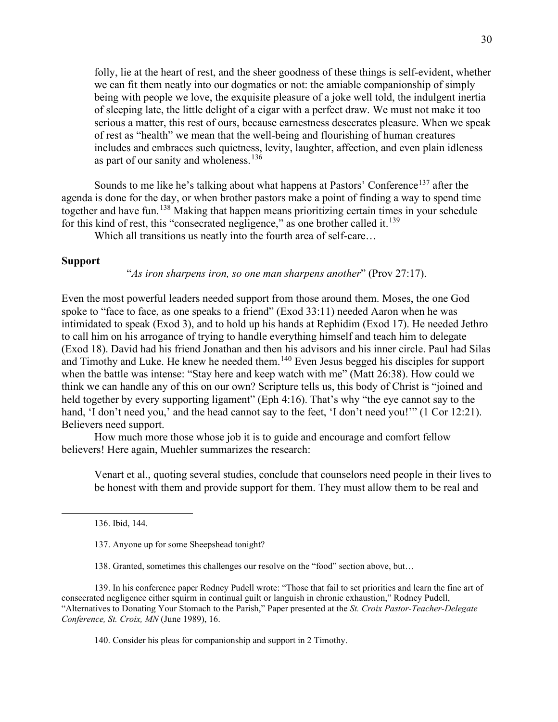folly, lie at the heart of rest, and the sheer goodness of these things is self-evident, whether we can fit them neatly into our dogmatics or not: the amiable companionship of simply being with people we love, the exquisite pleasure of a joke well told, the indulgent inertia of sleeping late, the little delight of a cigar with a perfect draw. We must not make it too serious a matter, this rest of ours, because earnestness desecrates pleasure. When we speak of rest as "health" we mean that the well-being and flourishing of human creatures includes and embraces such quietness, levity, laughter, affection, and even plain idleness as part of our sanity and wholeness.<sup>[136](#page-31-0)</sup>

Sounds to me like he's talking about what happens at Pastors' Conference<sup>[137](#page-31-1)</sup> after the agenda is done for the day, or when brother pastors make a point of finding a way to spend time together and have fun.[138](#page-31-2) Making that happen means prioritizing certain times in your schedule for this kind of rest, this "consecrated negligence," as one brother called it.<sup>[139](#page-31-3)</sup>

Which all transitions us neatly into the fourth area of self-care…

## **Support**

"*As iron sharpens iron, so one man sharpens another*" (Prov 27:17).

Even the most powerful leaders needed support from those around them. Moses, the one God spoke to "face to face, as one speaks to a friend" (Exod 33:11) needed Aaron when he was intimidated to speak (Exod 3), and to hold up his hands at Rephidim (Exod 17). He needed Jethro to call him on his arrogance of trying to handle everything himself and teach him to delegate (Exod 18). David had his friend Jonathan and then his advisors and his inner circle. Paul had Silas and Timothy and Luke. He knew he needed them.<sup>[140](#page-31-4)</sup> Even Jesus begged his disciples for support when the battle was intense: "Stay here and keep watch with me" (Matt 26:38). How could we think we can handle any of this on our own? Scripture tells us, this body of Christ is "joined and held together by every supporting ligament" (Eph 4:16). That's why "the eye cannot say to the hand, 'I don't need you,' and the head cannot say to the feet, 'I don't need you!'" (1 Cor 12:21). Believers need support.

How much more those whose job it is to guide and encourage and comfort fellow believers! Here again, Muehler summarizes the research:

Venart et al., quoting several studies, conclude that counselors need people in their lives to be honest with them and provide support for them. They must allow them to be real and

136. Ibid, 144.

138. Granted, sometimes this challenges our resolve on the "food" section above, but…

<span id="page-31-4"></span><span id="page-31-3"></span><span id="page-31-2"></span><span id="page-31-1"></span><span id="page-31-0"></span>139. In his conference paper Rodney Pudell wrote: "Those that fail to set priorities and learn the fine art of consecrated negligence either squirm in continual guilt or languish in chronic exhaustion," Rodney Pudell, "Alternatives to Donating Your Stomach to the Parish," Paper presented at the *St. Croix Pastor-Teacher-Delegate Conference, St. Croix, MN* (June 1989), 16.

140. Consider his pleas for companionship and support in 2 Timothy.

<sup>137.</sup> Anyone up for some Sheepshead tonight?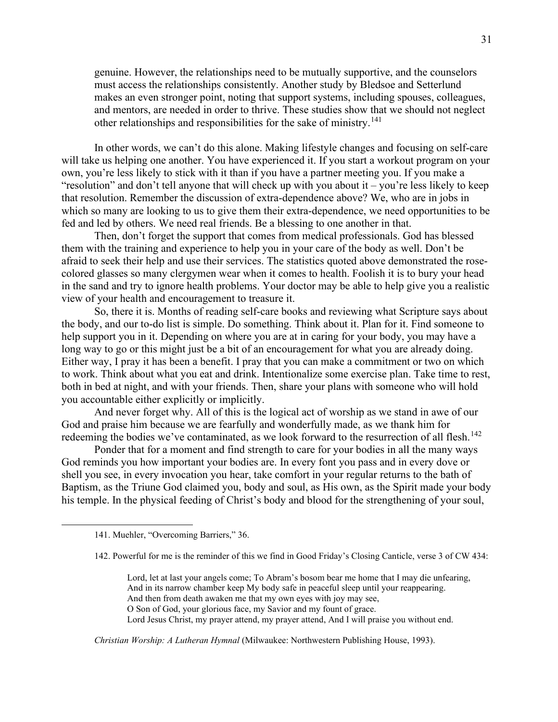genuine. However, the relationships need to be mutually supportive, and the counselors must access the relationships consistently. Another study by Bledsoe and Setterlund makes an even stronger point, noting that support systems, including spouses, colleagues, and mentors, are needed in order to thrive. These studies show that we should not neglect other relationships and responsibilities for the sake of ministry.<sup>[141](#page-32-0)</sup>

In other words, we can't do this alone. Making lifestyle changes and focusing on self-care will take us helping one another. You have experienced it. If you start a workout program on your own, you're less likely to stick with it than if you have a partner meeting you. If you make a "resolution" and don't tell anyone that will check up with you about it – you're less likely to keep that resolution. Remember the discussion of extra-dependence above? We, who are in jobs in which so many are looking to us to give them their extra-dependence, we need opportunities to be fed and led by others. We need real friends. Be a blessing to one another in that.

Then, don't forget the support that comes from medical professionals. God has blessed them with the training and experience to help you in your care of the body as well. Don't be afraid to seek their help and use their services. The statistics quoted above demonstrated the rosecolored glasses so many clergymen wear when it comes to health. Foolish it is to bury your head in the sand and try to ignore health problems. Your doctor may be able to help give you a realistic view of your health and encouragement to treasure it.

So, there it is. Months of reading self-care books and reviewing what Scripture says about the body, and our to-do list is simple. Do something. Think about it. Plan for it. Find someone to help support you in it. Depending on where you are at in caring for your body, you may have a long way to go or this might just be a bit of an encouragement for what you are already doing. Either way, I pray it has been a benefit. I pray that you can make a commitment or two on which to work. Think about what you eat and drink. Intentionalize some exercise plan. Take time to rest, both in bed at night, and with your friends. Then, share your plans with someone who will hold you accountable either explicitly or implicitly.

And never forget why. All of this is the logical act of worship as we stand in awe of our God and praise him because we are fearfully and wonderfully made, as we thank him for redeeming the bodies we've contaminated, as we look forward to the resurrection of all flesh.<sup>[142](#page-32-1)</sup>

Ponder that for a moment and find strength to care for your bodies in all the many ways God reminds you how important your bodies are. In every font you pass and in every dove or shell you see, in every invocation you hear, take comfort in your regular returns to the bath of Baptism, as the Triune God claimed you, body and soul, as His own, as the Spirit made your body his temple. In the physical feeding of Christ's body and blood for the strengthening of your soul,

- 142. Powerful for me is the reminder of this we find in Good Friday's Closing Canticle, verse 3 of CW 434:
	- Lord, let at last your angels come; To Abram's bosom bear me home that I may die unfearing,
	- And in its narrow chamber keep My body safe in peaceful sleep until your reappearing.
	- And then from death awaken me that my own eyes with joy may see,
	- O Son of God, your glorious face, my Savior and my fount of grace.
	- Lord Jesus Christ, my prayer attend, my prayer attend, And I will praise you without end.

*Christian Worship: A Lutheran Hymnal* (Milwaukee: Northwestern Publishing House, 1993).

<span id="page-32-1"></span><span id="page-32-0"></span><sup>141.</sup> Muehler, "Overcoming Barriers," 36.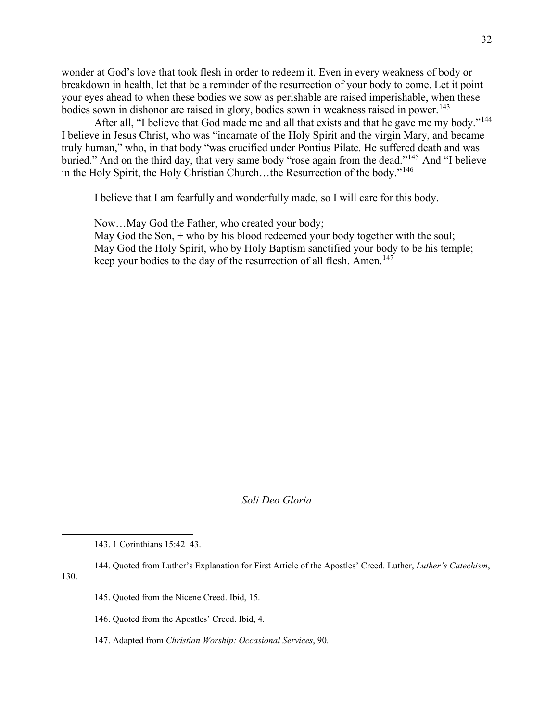wonder at God's love that took flesh in order to redeem it. Even in every weakness of body or breakdown in health, let that be a reminder of the resurrection of your body to come. Let it point your eyes ahead to when these bodies we sow as perishable are raised imperishable, when these bodies sown in dishonor are raised in glory, bodies sown in weakness raised in power. [143](#page-33-0)

After all, "I believe that God made me and all that exists and that he gave me my body."<sup>[144](#page-33-1)</sup> I believe in Jesus Christ, who was "incarnate of the Holy Spirit and the virgin Mary, and became truly human," who, in that body "was crucified under Pontius Pilate. He suffered death and was buried." And on the third day, that very same body "rose again from the dead."<sup>[145](#page-33-2)</sup> And "I believe in the Holy Spirit, the Holy Christian Church…the Resurrection of the body."[146](#page-33-3)

I believe that I am fearfully and wonderfully made, so I will care for this body.

Now…May God the Father, who created your body;

May God the Son,  $+$  who by his blood redeemed your body together with the soul; May God the Holy Spirit, who by Holy Baptism sanctified your body to be his temple; keep your bodies to the day of the resurrection of all flesh. Amen.<sup>[147](#page-33-4)</sup>

*Soli Deo Gloria*

- 145. Quoted from the Nicene Creed. Ibid, 15.
- 146. Quoted from the Apostles' Creed. Ibid, 4.
- <span id="page-33-4"></span>147. Adapted from *Christian Worship: Occasional Services*, 90.

<sup>143.</sup> 1 Corinthians 15:42–43.

<span id="page-33-3"></span><span id="page-33-2"></span><span id="page-33-1"></span><span id="page-33-0"></span><sup>144.</sup> Quoted from Luther's Explanation for First Article of the Apostles' Creed. Luther, *Luther's Catechism*, 130.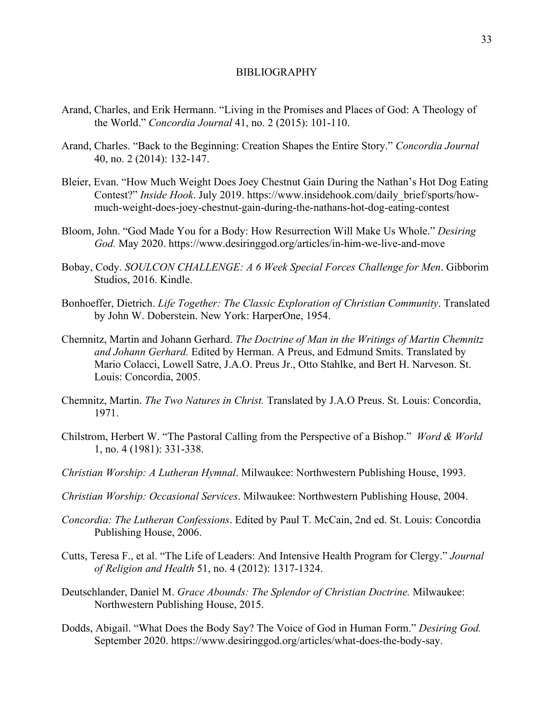#### BIBLIOGRAPHY

- Arand, Charles, and Erik Hermann. "Living in the Promises and Places of God: A Theology of the World." *Concordia Journal* 41, no. 2 (2015): 101-110.
- Arand, Charles. "Back to the Beginning: Creation Shapes the Entire Story." *Concordia Journal* 40, no. 2 (2014): 132-147.
- Bleier, Evan. "How Much Weight Does Joey Chestnut Gain During the Nathan's Hot Dog Eating Contest?" *Inside Hook*. July 2019. https://www.insidehook.com/daily\_brief/sports/howmuch-weight-does-joey-chestnut-gain-during-the-nathans-hot-dog-eating-contest
- Bloom, John. "God Made You for a Body: How Resurrection Will Make Us Whole." *Desiring God.* May 2020. https://www.desiringgod.org/articles/in-him-we-live-and-move
- Bobay, Cody. *SOULCON CHALLENGE: A 6 Week Special Forces Challenge for Men*. Gibborim Studios, 2016. Kindle.
- Bonhoeffer, Dietrich. *Life Together: The Classic Exploration of Christian Community*. Translated by John W. Doberstein. New York: HarperOne, 1954.
- Chemnitz, Martin and Johann Gerhard. *The Doctrine of Man in the Writings of Martin Chemnitz and Johann Gerhard.* Edited by Herman. A Preus, and Edmund Smits. Translated by Mario Colacci, Lowell Satre, J.A.O. Preus Jr., Otto Stahlke, and Bert H. Narveson. St. Louis: Concordia, 2005.
- Chemnitz, Martin. *The Two Natures in Christ.* Translated by J.A.O Preus. St. Louis: Concordia, 1971.
- Chilstrom, Herbert W. "The Pastoral Calling from the Perspective of a Bishop." *Word & World*  1, no. 4 (1981): 331-338.
- *Christian Worship: A Lutheran Hymnal*. Milwaukee: Northwestern Publishing House, 1993.
- *Christian Worship: Occasional Services*. Milwaukee: Northwestern Publishing House, 2004.
- *Concordia: The Lutheran Confessions*. Edited by Paul T. McCain, 2nd ed. St. Louis: Concordia Publishing House, 2006.
- Cutts, Teresa F., et al. "The Life of Leaders: And Intensive Health Program for Clergy." *Journal of Religion and Health* 51, no. 4 (2012): 1317-1324.
- Deutschlander, Daniel M. *Grace Abounds: The Splendor of Christian Doctrine.* Milwaukee: Northwestern Publishing House, 2015.
- Dodds, Abigail. "What Does the Body Say? The Voice of God in Human Form." *Desiring God.* September 2020. https://www.desiringgod.org/articles/what-does-the-body-say.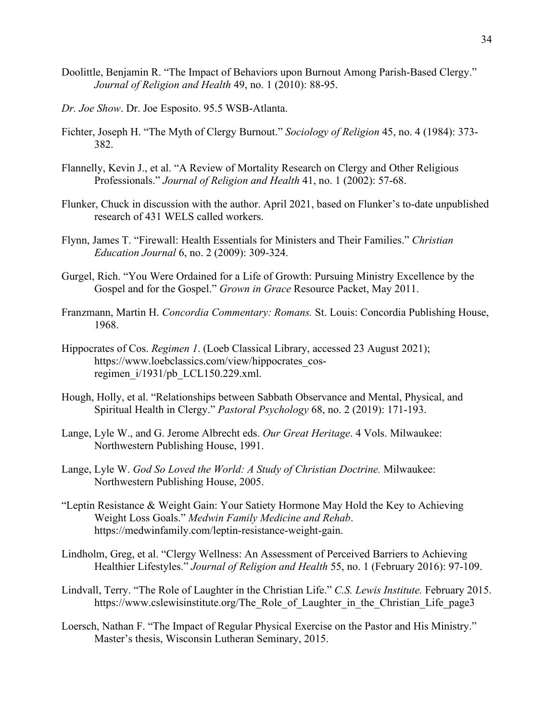- Doolittle, Benjamin R. "The Impact of Behaviors upon Burnout Among Parish-Based Clergy." *Journal of Religion and Health* 49, no. 1 (2010): 88-95.
- *Dr. Joe Show*. Dr. Joe Esposito. 95.5 WSB-Atlanta.
- Fichter, Joseph H. "The Myth of Clergy Burnout." *Sociology of Religion* 45, no. 4 (1984): 373- 382.
- Flannelly, Kevin J., et al. "A Review of Mortality Research on Clergy and Other Religious Professionals." *Journal of Religion and Health* 41, no. 1 (2002): 57-68.
- Flunker, Chuck in discussion with the author. April 2021, based on Flunker's to-date unpublished research of 431 WELS called workers.
- Flynn, James T. "Firewall: Health Essentials for Ministers and Their Families." *Christian Education Journal* 6, no. 2 (2009): 309-324.
- Gurgel, Rich. "You Were Ordained for a Life of Growth: Pursuing Ministry Excellence by the Gospel and for the Gospel." *Grown in Grace* Resource Packet, May 2011.
- Franzmann, Martin H. *Concordia Commentary: Romans.* St. Louis: Concordia Publishing House, 1968.
- Hippocrates of Cos. *Regimen 1*. (Loeb Classical Library, accessed 23 August 2021); https://www.loebclassics.com/view/hippocrates\_cosregimen\_i/1931/pb\_LCL150.229.xml.
- Hough, Holly, et al. "Relationships between Sabbath Observance and Mental, Physical, and Spiritual Health in Clergy." *Pastoral Psychology* 68, no. 2 (2019): 171-193.
- Lange, Lyle W., and G. Jerome Albrecht eds. *Our Great Heritage*. 4 Vols. Milwaukee: Northwestern Publishing House, 1991.
- Lange, Lyle W. *God So Loved the World: A Study of Christian Doctrine.* Milwaukee: Northwestern Publishing House, 2005.
- "Leptin Resistance & Weight Gain: Your Satiety Hormone May Hold the Key to Achieving Weight Loss Goals." *Medwin Family Medicine and Rehab*. https://medwinfamily.com/leptin-resistance-weight-gain.
- Lindholm, Greg, et al. "Clergy Wellness: An Assessment of Perceived Barriers to Achieving Healthier Lifestyles." *Journal of Religion and Health* 55, no. 1 (February 2016): 97-109.
- Lindvall, Terry. "The Role of Laughter in the Christian Life." *C.S. Lewis Institute.* February 2015. https://www.cslewisinstitute.org/The\_Role\_of\_Laughter\_in\_the\_Christian\_Life\_page3
- Loersch, Nathan F. "The Impact of Regular Physical Exercise on the Pastor and His Ministry." Master's thesis, Wisconsin Lutheran Seminary, 2015.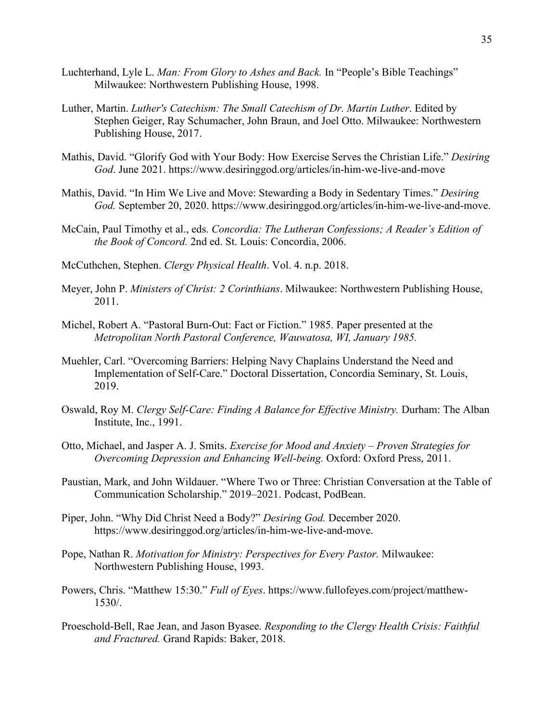- Luchterhand, Lyle L. *Man: From Glory to Ashes and Back.* In "People's Bible Teachings" Milwaukee: Northwestern Publishing House, 1998.
- Luther, Martin. *Luther's Catechism: The Small Catechism of Dr. Martin Luther*. Edited by Stephen Geiger, Ray Schumacher, John Braun, and Joel Otto. Milwaukee: Northwestern Publishing House, 2017.
- Mathis, David. "Glorify God with Your Body: How Exercise Serves the Christian Life." *Desiring God*. June 2021. https://www.desiringgod.org/articles/in-him-we-live-and-move
- Mathis, David. "In Him We Live and Move: Stewarding a Body in Sedentary Times." *Desiring God.* September 20, 2020. [https://www.desiringgod.org/articles/in-him-we-live-and-move.](https://www.desiringgod.org/articles/in-him-we-live-and-move)
- McCain, Paul Timothy et al., eds. *Concordia: The Lutheran Confessions; A Reader's Edition of the Book of Concord.* 2nd ed. St. Louis: Concordia, 2006.
- McCuthchen, Stephen. *Clergy Physical Health*. Vol. 4. n.p. 2018.
- Meyer, John P. *Ministers of Christ: 2 Corinthians*. Milwaukee: Northwestern Publishing House, 2011.
- Michel, Robert A. "Pastoral Burn-Out: Fact or Fiction." 1985. Paper presented at the *Metropolitan North Pastoral Conference, Wauwatosa, WI, January 1985.*
- Muehler, Carl. "Overcoming Barriers: Helping Navy Chaplains Understand the Need and Implementation of Self-Care." Doctoral Dissertation, Concordia Seminary, St. Louis, 2019.
- Oswald, Roy M. *Clergy Self-Care: Finding A Balance for Effective Ministry.* Durham: The Alban Institute, Inc., 1991.
- Otto, Michael, and Jasper A. J. Smits. *Exercise for Mood and Anxiety – Proven Strategies for Overcoming Depression and Enhancing Well-being.* Oxford: Oxford Press, 2011.
- Paustian, Mark, and John Wildauer. "Where Two or Three: Christian Conversation at the Table of Communication Scholarship." 2019–2021. Podcast, PodBean.
- Piper, John. "Why Did Christ Need a Body?" *Desiring God.* December 2020. https://www.desiringgod.org/articles/in-him-we-live-and-move.
- Pope, Nathan R. *Motivation for Ministry: Perspectives for Every Pastor.* Milwaukee: Northwestern Publishing House, 1993.
- Powers, Chris. "Matthew 15:30." *Full of Eyes*. https://www.fullofeyes.com/project/matthew-1530/.
- Proeschold-Bell, Rae Jean, and Jason Byasee. *Responding to the Clergy Health Crisis: Faithful and Fractured.* Grand Rapids: Baker, 2018.